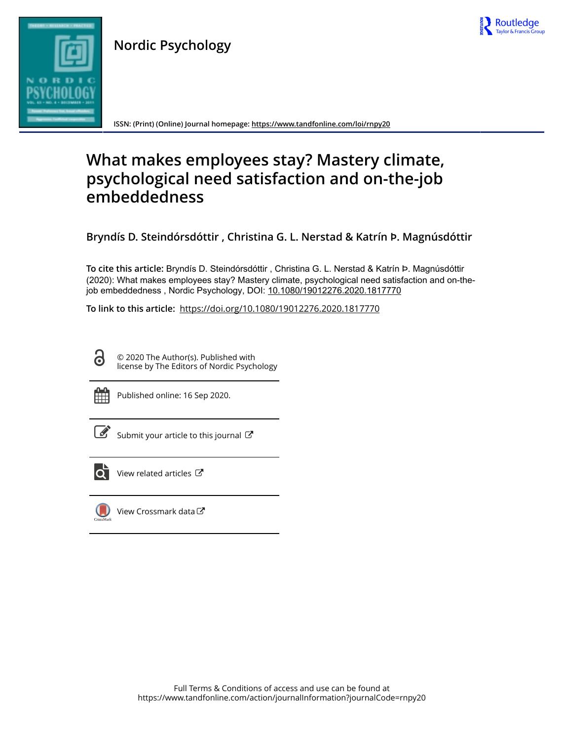



**ISSN: (Print) (Online) Journal homepage:<https://www.tandfonline.com/loi/rnpy20>**

# **What makes employees stay? Mastery climate, psychological need satisfaction and on-the-job embeddedness**

**Bryndís D. Steindórsdóttir , Christina G. L. Nerstad & Katrín Þ. Magnúsdóttir**

**To cite this article:** Bryndís D. Steindórsdóttir , Christina G. L. Nerstad & Katrín Þ. Magnúsdóttir (2020): What makes employees stay? Mastery climate, psychological need satisfaction and on-thejob embeddedness , Nordic Psychology, DOI: [10.1080/19012276.2020.1817770](https://www.tandfonline.com/action/showCitFormats?doi=10.1080/19012276.2020.1817770)

**To link to this article:** <https://doi.org/10.1080/19012276.2020.1817770>

© 2020 The Author(s). Published with license by The Editors of Nordic Psychology



d

Published online: 16 Sep 2020.

[Submit your article to this journal](https://www.tandfonline.com/action/authorSubmission?journalCode=rnpy20&show=instructions)  $\mathbb{Z}$ 



 $\overrightarrow{Q}$  [View related articles](https://www.tandfonline.com/doi/mlt/10.1080/19012276.2020.1817770)  $\overrightarrow{C}$ 



[View Crossmark data](http://crossmark.crossref.org/dialog/?doi=10.1080/19012276.2020.1817770&domain=pdf&date_stamp=2020-09-16)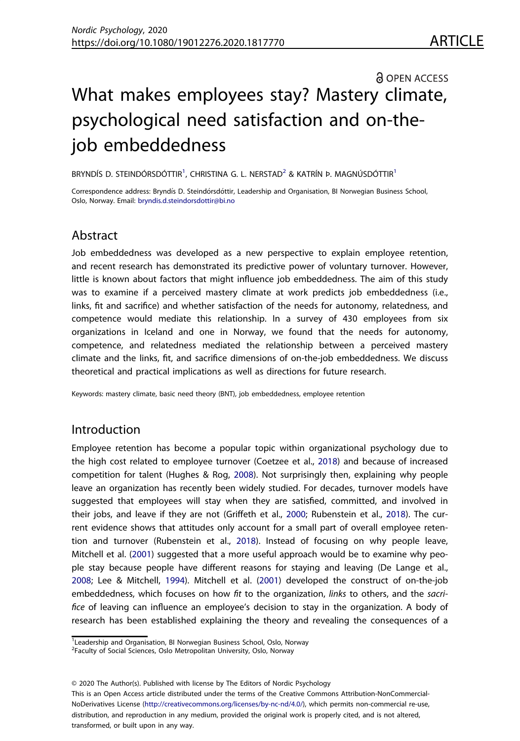# <span id="page-1-0"></span>**a** OPEN ACCESS What makes employees stay? Mastery climate, psychological need satisfaction and on-thejob embeddedness

BRYNDÍS D. STEINDÓRSDÓTTIR $^1$ , CHRISTINA G. L. NERSTAD $^2$  & KATRÍN Þ. MAGNÚSDÓTTIR $^1$ 

Correspondence address: Bryndís D. Steindórsdóttir, Leadership and Organisation, BI Norwegian Business School, Oslo, Norway. Email: bryndis.d.steindorsdottir@bi.no

# Abstract

Job embeddedness was developed as a new perspective to explain employee retention, and recent research has demonstrated its predictive power of voluntary turnover. However, little is known about factors that might influence job embeddedness. The aim of this study was to examine if a perceived mastery climate at work predicts job embeddedness (i.e., links, fit and sacrifice) and whether satisfaction of the needs for autonomy, relatedness, and competence would mediate this relationship. In a survey of 430 employees from six organizations in Iceland and one in Norway, we found that the needs for autonomy, competence, and relatedness mediated the relationship between a perceived mastery climate and the links, fit, and sacrifice dimensions of on-the-job embeddedness. We discuss theoretical and practical implications as well as directions for future research.

Keywords: mastery climate, basic need theory (BNT), job embeddedness, employee retention

# Introduction

Employee retention has become a popular topic within organizational psychology due to the high cost related to employee turnover (Coetzee et al., [2018](#page-21-0)) and because of increased competition for talent (Hughes & Rog, [2008](#page-22-0)). Not surprisingly then, explaining why people leave an organization has recently been widely studied. For decades, turnover models have suggested that employees will stay when they are satisfied, committed, and involved in their jobs, and leave if they are not (Griffeth et al., [2000](#page-22-0); Rubenstein et al., [2018\)](#page-24-0). The current evidence shows that attitudes only account for a small part of overall employee retention and turnover (Rubenstein et al., [2018\)](#page-24-0). Instead of focusing on why people leave, Mitchell et al. [\(2001\)](#page-23-0) suggested that a more useful approach would be to examine why people stay because people have different reasons for staying and leaving (De Lange et al., [2008;](#page-21-0) Lee & Mitchell, [1994](#page-23-0)). Mitchell et al. [\(2001](#page-23-0)) developed the construct of on-the-job embeddedness, which focuses on how fit to the organization, links to others, and the sacrifice of leaving can influence an employee's decision to stay in the organization. A body of research has been established explaining the theory and revealing the consequences of a

This is an Open Access article distributed under the terms of the Creative Commons Attribution-NonCommercial-NoDerivatives License (http://creativecommons.org/licenses/by-nc-nd/4.0/), which permits non-commercial re-use, distribution, and reproduction in any medium, provided the original work is properly cited, and is not altered, transformed, or built upon in any way.

<sup>&</sup>lt;sup>1</sup> Leadership and Organisation, BI Norwegian Business School, Oslo, Norway

<sup>2</sup> Faculty of Social Sciences, Oslo Metropolitan University, Oslo, Norway

<sup>© 2020</sup> The Author(s). Published with license by The Editors of Nordic Psychology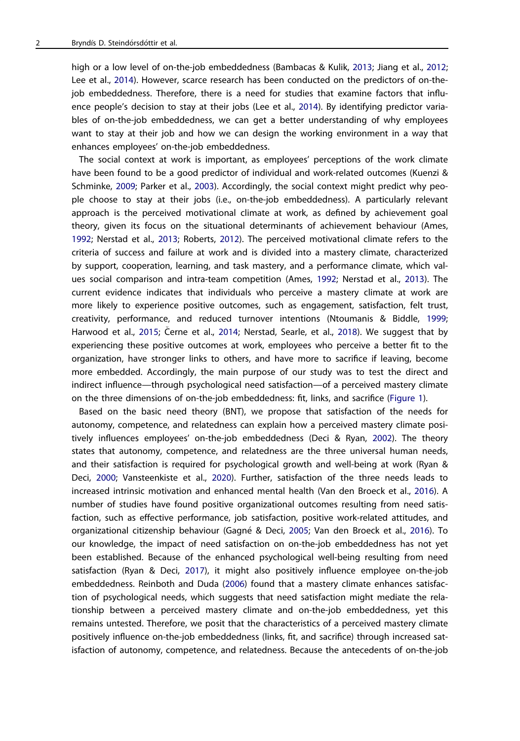<span id="page-2-0"></span>high or a low level of on-the-job embeddedness (Bambacas & Kulik, [2013](#page-21-0); Jiang et al., [2012](#page-23-0); Lee et al., [2014\)](#page-23-0). However, scarce research has been conducted on the predictors of on-thejob embeddedness. Therefore, there is a need for studies that examine factors that influ-ence people's decision to stay at their jobs (Lee et al., [2014\)](#page-23-0). By identifying predictor variables of on-the-job embeddedness, we can get a better understanding of why employees want to stay at their job and how we can design the working environment in a way that enhances employees' on-the-job embeddedness.

The social context at work is important, as employees' perceptions of the work climate have been found to be a good predictor of individual and work-related outcomes (Kuenzi & Schminke, [2009](#page-23-0); Parker et al., [2003](#page-24-0)). Accordingly, the social context might predict why people choose to stay at their jobs (i.e., on-the-job embeddedness). A particularly relevant approach is the perceived motivational climate at work, as defined by achievement goal theory, given its focus on the situational determinants of achievement behaviour (Ames, [1992;](#page-21-0) Nerstad et al., [2013;](#page-23-0) Roberts, [2012](#page-24-0)). The perceived motivational climate refers to the criteria of success and failure at work and is divided into a mastery climate, characterized by support, cooperation, learning, and task mastery, and a performance climate, which values social comparison and intra-team competition (Ames, [1992](#page-21-0); Nerstad et al., [2013\)](#page-23-0). The current evidence indicates that individuals who perceive a mastery climate at work are more likely to experience positive outcomes, such as engagement, satisfaction, felt trust, creativity, performance, and reduced turnover intentions (Ntoumanis & Biddle, [1999](#page-24-0); Harwood et al., [2015](#page-22-0); Cerne et al., [2014;](#page-21-0) Nerstad, Searle, et al., [2018](#page-23-0)). We suggest that by experiencing these positive outcomes at work, employees who perceive a better fit to the organization, have stronger links to others, and have more to sacrifice if leaving, become more embedded. Accordingly, the main purpose of our study was to test the direct and indirect influence—through psychological need satisfaction—of a perceived mastery climate on the three dimensions of on-the-job embeddedness: fit, links, and sacrifice ([Figure 1\)](#page-19-0).

Based on the basic need theory (BNT), we propose that satisfaction of the needs for autonomy, competence, and relatedness can explain how a perceived mastery climate positively influences employees' on-the-job embeddedness (Deci & Ryan, [2002\)](#page-22-0). The theory states that autonomy, competence, and relatedness are the three universal human needs, and their satisfaction is required for psychological growth and well-being at work (Ryan & Deci, [2000;](#page-24-0) Vansteenkiste et al., [2020\)](#page-25-0). Further, satisfaction of the three needs leads to increased intrinsic motivation and enhanced mental health (Van den Broeck et al., [2016\)](#page-25-0). A number of studies have found positive organizational outcomes resulting from need satisfaction, such as effective performance, job satisfaction, positive work-related attitudes, and organizational citizenship behaviour (Gagné & Deci, [2005;](#page-22-0) Van den Broeck et al., [2016\)](#page-25-0). To our knowledge, the impact of need satisfaction on on-the-job embeddedness has not yet been established. Because of the enhanced psychological well-being resulting from need satisfaction (Ryan & Deci, [2017](#page-24-0)), it might also positively influence employee on-the-job embeddedness. Reinboth and Duda ([2006](#page-24-0)) found that a mastery climate enhances satisfaction of psychological needs, which suggests that need satisfaction might mediate the relationship between a perceived mastery climate and on-the-job embeddedness, yet this remains untested. Therefore, we posit that the characteristics of a perceived mastery climate positively influence on-the-job embeddedness (links, fit, and sacrifice) through increased satisfaction of autonomy, competence, and relatedness. Because the antecedents of on-the-job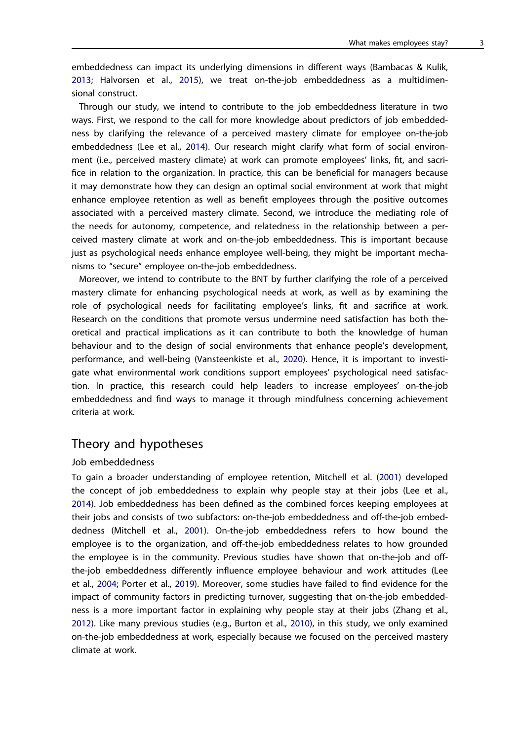<span id="page-3-0"></span>embeddedness can impact its underlying dimensions in different ways (Bambacas & Kulik, [2013;](#page-21-0) Halvorsen et al., [2015\)](#page-22-0), we treat on-the-job embeddedness as a multidimensional construct.

Through our study, we intend to contribute to the job embeddedness literature in two ways. First, we respond to the call for more knowledge about predictors of job embeddedness by clarifying the relevance of a perceived mastery climate for employee on-the-job embeddedness (Lee et al., [2014\)](#page-23-0). Our research might clarify what form of social environment (i.e., perceived mastery climate) at work can promote employees' links, fit, and sacrifice in relation to the organization. In practice, this can be beneficial for managers because it may demonstrate how they can design an optimal social environment at work that might enhance employee retention as well as benefit employees through the positive outcomes associated with a perceived mastery climate. Second, we introduce the mediating role of the needs for autonomy, competence, and relatedness in the relationship between a perceived mastery climate at work and on-the-job embeddedness. This is important because just as psychological needs enhance employee well-being, they might be important mechanisms to "secure" employee on-the-job embeddedness.

Moreover, we intend to contribute to the BNT by further clarifying the role of a perceived mastery climate for enhancing psychological needs at work, as well as by examining the role of psychological needs for facilitating employee's links, fit and sacrifice at work. Research on the conditions that promote versus undermine need satisfaction has both theoretical and practical implications as it can contribute to both the knowledge of human behaviour and to the design of social environments that enhance people's development, performance, and well-being (Vansteenkiste et al., [2020](#page-25-0)). Hence, it is important to investigate what environmental work conditions support employees' psychological need satisfaction. In practice, this research could help leaders to increase employees' on-the-job embeddedness and find ways to manage it through mindfulness concerning achievement criteria at work.

# Theory and hypotheses

# Job embeddedness

To gain a broader understanding of employee retention, Mitchell et al. ([2001](#page-23-0)) developed the concept of job embeddedness to explain why people stay at their jobs (Lee et al., [2014\)](#page-23-0). Job embeddedness has been defined as the combined forces keeping employees at their jobs and consists of two subfactors: on-the-job embeddedness and off-the-job embeddedness (Mitchell et al., [2001\)](#page-23-0). On-the-job embeddedness refers to how bound the employee is to the organization, and off-the-job embeddedness relates to how grounded the employee is in the community. Previous studies have shown that on-the-job and offthe-job embeddedness differently influence employee behaviour and work attitudes (Lee et al., [2004;](#page-23-0) Porter et al., [2019\)](#page-24-0). Moreover, some studies have failed to find evidence for the impact of community factors in predicting turnover, suggesting that on-the-job embeddedness is a more important factor in explaining why people stay at their jobs (Zhang et al., [2012\)](#page-25-0). Like many previous studies (e.g., Burton et al., [2010\)](#page-21-0), in this study, we only examined on-the-job embeddedness at work, especially because we focused on the perceived mastery climate at work.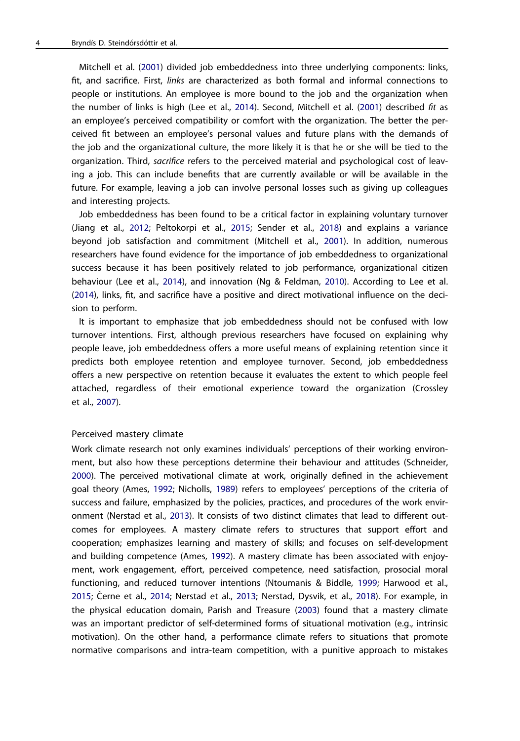<span id="page-4-0"></span>Mitchell et al. ([2001](#page-23-0)) divided job embeddedness into three underlying components: links, fit, and sacrifice. First, links are characterized as both formal and informal connections to people or institutions. An employee is more bound to the job and the organization when the number of links is high (Lee et al., [2014](#page-23-0)). Second, Mitchell et al. ([2001\)](#page-23-0) described fit as an employee's perceived compatibility or comfort with the organization. The better the perceived fit between an employee's personal values and future plans with the demands of the job and the organizational culture, the more likely it is that he or she will be tied to the organization. Third, sacrifice refers to the perceived material and psychological cost of leaving a job. This can include benefits that are currently available or will be available in the future. For example, leaving a job can involve personal losses such as giving up colleagues and interesting projects.

Job embeddedness has been found to be a critical factor in explaining voluntary turnover (Jiang et al., [2012](#page-23-0); Peltokorpi et al., [2015;](#page-24-0) Sender et al., [2018\)](#page-25-0) and explains a variance beyond job satisfaction and commitment (Mitchell et al., [2001\)](#page-23-0). In addition, numerous researchers have found evidence for the importance of job embeddedness to organizational success because it has been positively related to job performance, organizational citizen behaviour (Lee et al., [2014\)](#page-23-0), and innovation (Ng & Feldman, [2010\)](#page-23-0). According to Lee et al. ([2014](#page-23-0)), links, fit, and sacrifice have a positive and direct motivational influence on the decision to perform.

It is important to emphasize that job embeddedness should not be confused with low turnover intentions. First, although previous researchers have focused on explaining why people leave, job embeddedness offers a more useful means of explaining retention since it predicts both employee retention and employee turnover. Second, job embeddedness offers a new perspective on retention because it evaluates the extent to which people feel attached, regardless of their emotional experience toward the organization (Crossley et al., [2007](#page-21-0)).

## Perceived mastery climate

Work climate research not only examines individuals' perceptions of their working environment, but also how these perceptions determine their behaviour and attitudes (Schneider, [2000\)](#page-25-0). The perceived motivational climate at work, originally defined in the achievement goal theory (Ames, [1992;](#page-21-0) Nicholls, [1989](#page-24-0)) refers to employees' perceptions of the criteria of success and failure, emphasized by the policies, practices, and procedures of the work environment (Nerstad et al., [2013\)](#page-23-0). It consists of two distinct climates that lead to different outcomes for employees. A mastery climate refers to structures that support effort and cooperation; emphasizes learning and mastery of skills; and focuses on self-development and building competence (Ames, [1992\)](#page-21-0). A mastery climate has been associated with enjoyment, work engagement, effort, perceived competence, need satisfaction, prosocial moral functioning, and reduced turnover intentions (Ntoumanis & Biddle, [1999;](#page-24-0) Harwood et al., [2015;](#page-22-0) Cerne et al., [2014](#page-21-0); Nerstad et al., [2013;](#page-23-0) Nerstad, Dysvik, et al., [2018](#page-23-0)). For example, in the physical education domain, Parish and Treasure [\(2003\)](#page-24-0) found that a mastery climate was an important predictor of self-determined forms of situational motivation (e.g., intrinsic motivation). On the other hand, a performance climate refers to situations that promote normative comparisons and intra-team competition, with a punitive approach to mistakes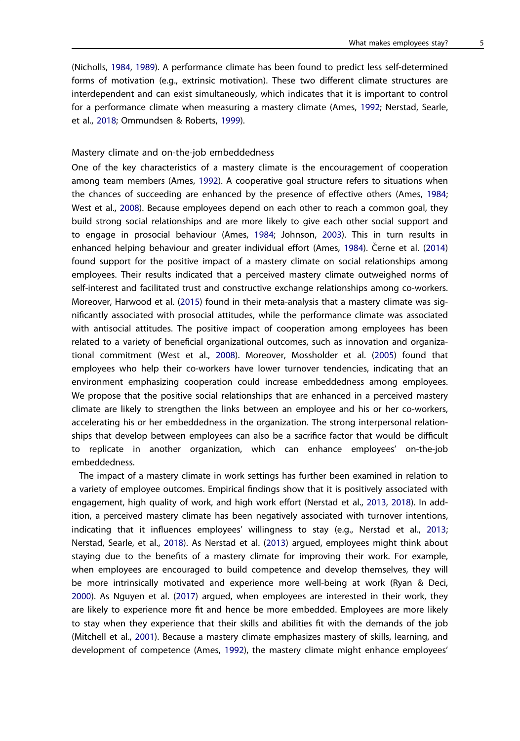<span id="page-5-0"></span>(Nicholls, [1984,](#page-24-0) [1989\)](#page-24-0). A performance climate has been found to predict less self-determined forms of motivation (e.g., extrinsic motivation). These two different climate structures are interdependent and can exist simultaneously, which indicates that it is important to control for a performance climate when measuring a mastery climate (Ames, [1992;](#page-21-0) Nerstad, Searle, et al., [2018](#page-23-0); Ommundsen & Roberts, [1999](#page-24-0)).

## Mastery climate and on-the-job embeddedness

One of the key characteristics of a mastery climate is the encouragement of cooperation among team members (Ames, [1992](#page-21-0)). A cooperative goal structure refers to situations when the chances of succeeding are enhanced by the presence of effective others (Ames, [1984](#page-21-0); West et al., [2008](#page-25-0)). Because employees depend on each other to reach a common goal, they build strong social relationships and are more likely to give each other social support and to engage in prosocial behaviour (Ames, [1984;](#page-21-0) Johnson, [2003](#page-23-0)). This in turn results in enhanced helping behaviour and greater individual effort (Ames, [1984\)](#page-21-0). Cerne et al. ([2014\)](#page-21-0) found support for the positive impact of a mastery climate on social relationships among employees. Their results indicated that a perceived mastery climate outweighed norms of self-interest and facilitated trust and constructive exchange relationships among co-workers. Moreover, Harwood et al. [\(2015\)](#page-22-0) found in their meta-analysis that a mastery climate was significantly associated with prosocial attitudes, while the performance climate was associated with antisocial attitudes. The positive impact of cooperation among employees has been related to a variety of beneficial organizational outcomes, such as innovation and organizational commitment (West et al., [2008](#page-25-0)). Moreover, Mossholder et al. [\(2005\)](#page-23-0) found that employees who help their co-workers have lower turnover tendencies, indicating that an environment emphasizing cooperation could increase embeddedness among employees. We propose that the positive social relationships that are enhanced in a perceived mastery climate are likely to strengthen the links between an employee and his or her co-workers, accelerating his or her embeddedness in the organization. The strong interpersonal relationships that develop between employees can also be a sacrifice factor that would be difficult to replicate in another organization, which can enhance employees' on-the-job embeddedness.

The impact of a mastery climate in work settings has further been examined in relation to a variety of employee outcomes. Empirical findings show that it is positively associated with engagement, high quality of work, and high work effort (Nerstad et al., [2013](#page-23-0), [2018\)](#page-23-0). In addition, a perceived mastery climate has been negatively associated with turnover intentions, indicating that it influences employees' willingness to stay (e.g., Nerstad et al., [2013](#page-23-0); Nerstad, Searle, et al., [2018](#page-23-0)). As Nerstad et al. ([2013](#page-23-0)) argued, employees might think about staying due to the benefits of a mastery climate for improving their work. For example, when employees are encouraged to build competence and develop themselves, they will be more intrinsically motivated and experience more well-being at work (Ryan & Deci, [2000\)](#page-24-0). As Nguyen et al. [\(2017\)](#page-24-0) argued, when employees are interested in their work, they are likely to experience more fit and hence be more embedded. Employees are more likely to stay when they experience that their skills and abilities fit with the demands of the job (Mitchell et al., [2001\)](#page-23-0). Because a mastery climate emphasizes mastery of skills, learning, and development of competence (Ames, [1992](#page-21-0)), the mastery climate might enhance employees'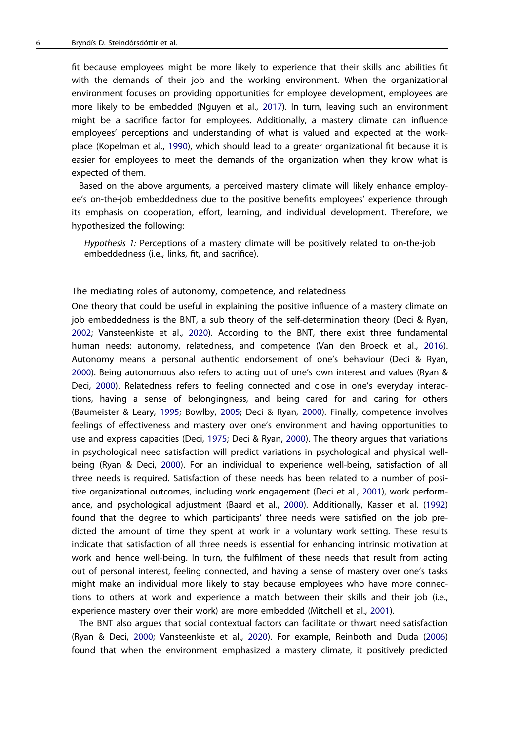<span id="page-6-0"></span>fit because employees might be more likely to experience that their skills and abilities fit with the demands of their job and the working environment. When the organizational environment focuses on providing opportunities for employee development, employees are more likely to be embedded (Nguyen et al., [2017\)](#page-24-0). In turn, leaving such an environment might be a sacrifice factor for employees. Additionally, a mastery climate can influence employees' perceptions and understanding of what is valued and expected at the workplace (Kopelman et al., [1990](#page-23-0)), which should lead to a greater organizational fit because it is easier for employees to meet the demands of the organization when they know what is expected of them.

Based on the above arguments, a perceived mastery climate will likely enhance employee's on-the-job embeddedness due to the positive benefits employees' experience through its emphasis on cooperation, effort, learning, and individual development. Therefore, we hypothesized the following:

Hypothesis 1: Perceptions of a mastery climate will be positively related to on-the-job embeddedness (i.e., links, fit, and sacrifice).

#### The mediating roles of autonomy, competence, and relatedness

One theory that could be useful in explaining the positive influence of a mastery climate on job embeddedness is the BNT, a sub theory of the self-determination theory (Deci & Ryan, [2002;](#page-22-0) Vansteenkiste et al., [2020\)](#page-25-0). According to the BNT, there exist three fundamental human needs: autonomy, relatedness, and competence (Van den Broeck et al., [2016\)](#page-25-0). Autonomy means a personal authentic endorsement of one's behaviour (Deci & Ryan, [2000\)](#page-22-0). Being autonomous also refers to acting out of one's own interest and values (Ryan & Deci, [2000](#page-24-0)). Relatedness refers to feeling connected and close in one's everyday interactions, having a sense of belongingness, and being cared for and caring for others (Baumeister & Leary, [1995](#page-21-0); Bowlby, [2005;](#page-21-0) Deci & Ryan, [2000](#page-22-0)). Finally, competence involves feelings of effectiveness and mastery over one's environment and having opportunities to use and express capacities (Deci, [1975](#page-21-0); Deci & Ryan, [2000](#page-22-0)). The theory argues that variations in psychological need satisfaction will predict variations in psychological and physical wellbeing (Ryan & Deci, [2000](#page-24-0)). For an individual to experience well-being, satisfaction of all three needs is required. Satisfaction of these needs has been related to a number of positive organizational outcomes, including work engagement (Deci et al., [2001](#page-22-0)), work performance, and psychological adjustment (Baard et al., [2000\)](#page-21-0). Additionally, Kasser et al. [\(1992\)](#page-23-0) found that the degree to which participants' three needs were satisfied on the job predicted the amount of time they spent at work in a voluntary work setting. These results indicate that satisfaction of all three needs is essential for enhancing intrinsic motivation at work and hence well-being. In turn, the fulfilment of these needs that result from acting out of personal interest, feeling connected, and having a sense of mastery over one's tasks might make an individual more likely to stay because employees who have more connections to others at work and experience a match between their skills and their job (i.e., experience mastery over their work) are more embedded (Mitchell et al., [2001\)](#page-23-0).

The BNT also argues that social contextual factors can facilitate or thwart need satisfaction (Ryan & Deci, [2000](#page-24-0); Vansteenkiste et al., [2020\)](#page-25-0). For example, Reinboth and Duda [\(2006\)](#page-24-0) found that when the environment emphasized a mastery climate, it positively predicted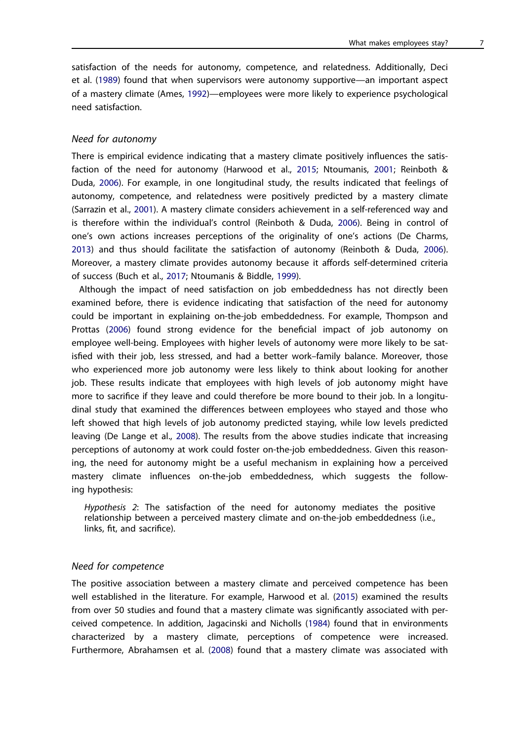<span id="page-7-0"></span>satisfaction of the needs for autonomy, competence, and relatedness. Additionally, Deci et al. [\(1989\)](#page-21-0) found that when supervisors were autonomy supportive—an important aspect of a mastery climate (Ames, [1992](#page-21-0))—employees were more likely to experience psychological need satisfaction.

# Need for autonomy

There is empirical evidence indicating that a mastery climate positively influences the satisfaction of the need for autonomy (Harwood et al., [2015](#page-22-0); Ntoumanis, [2001;](#page-24-0) Reinboth & Duda, [2006\)](#page-24-0). For example, in one longitudinal study, the results indicated that feelings of autonomy, competence, and relatedness were positively predicted by a mastery climate (Sarrazin et al., [2001\)](#page-24-0). A mastery climate considers achievement in a self-referenced way and is therefore within the individual's control (Reinboth & Duda, [2006](#page-24-0)). Being in control of one's own actions increases perceptions of the originality of one's actions (De Charms, [2013\)](#page-21-0) and thus should facilitate the satisfaction of autonomy (Reinboth & Duda, [2006\)](#page-24-0). Moreover, a mastery climate provides autonomy because it affords self-determined criteria of success (Buch et al., [2017](#page-21-0); Ntoumanis & Biddle, [1999](#page-24-0)).

Although the impact of need satisfaction on job embeddedness has not directly been examined before, there is evidence indicating that satisfaction of the need for autonomy could be important in explaining on-the-job embeddedness. For example, Thompson and Prottas [\(2006\)](#page-25-0) found strong evidence for the beneficial impact of job autonomy on employee well-being. Employees with higher levels of autonomy were more likely to be satisfied with their job, less stressed, and had a better work–family balance. Moreover, those who experienced more job autonomy were less likely to think about looking for another job. These results indicate that employees with high levels of job autonomy might have more to sacrifice if they leave and could therefore be more bound to their job. In a longitudinal study that examined the differences between employees who stayed and those who left showed that high levels of job autonomy predicted staying, while low levels predicted leaving (De Lange et al., [2008\)](#page-21-0). The results from the above studies indicate that increasing perceptions of autonomy at work could foster on-the-job embeddedness. Given this reasoning, the need for autonomy might be a useful mechanism in explaining how a perceived mastery climate influences on-the-job embeddedness, which suggests the following hypothesis:

Hypothesis 2: The satisfaction of the need for autonomy mediates the positive relationship between a perceived mastery climate and on-the-job embeddedness (i.e., links, fit, and sacrifice).

#### Need for competence

The positive association between a mastery climate and perceived competence has been well established in the literature. For example, Harwood et al. ([2015](#page-22-0)) examined the results from over 50 studies and found that a mastery climate was significantly associated with perceived competence. In addition, Jagacinski and Nicholls [\(1984\)](#page-23-0) found that in environments characterized by a mastery climate, perceptions of competence were increased. Furthermore, Abrahamsen et al. [\(2008\)](#page-21-0) found that a mastery climate was associated with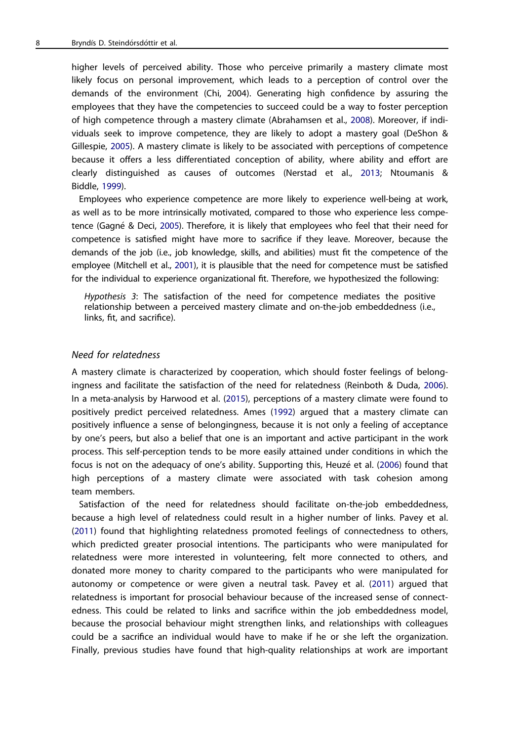<span id="page-8-0"></span>higher levels of perceived ability. Those who perceive primarily a mastery climate most likely focus on personal improvement, which leads to a perception of control over the demands of the environment (Chi, 2004). Generating high confidence by assuring the employees that they have the competencies to succeed could be a way to foster perception of high competence through a mastery climate (Abrahamsen et al., [2008](#page-21-0)). Moreover, if individuals seek to improve competence, they are likely to adopt a mastery goal (DeShon & Gillespie, [2005](#page-22-0)). A mastery climate is likely to be associated with perceptions of competence because it offers a less differentiated conception of ability, where ability and effort are clearly distinguished as causes of outcomes (Nerstad et al., [2013;](#page-23-0) Ntoumanis & Biddle, [1999](#page-24-0)).

Employees who experience competence are more likely to experience well-being at work, as well as to be more intrinsically motivated, compared to those who experience less compe-tence (Gagné & Deci, [2005\)](#page-22-0). Therefore, it is likely that employees who feel that their need for competence is satisfied might have more to sacrifice if they leave. Moreover, because the demands of the job (i.e., job knowledge, skills, and abilities) must fit the competence of the employee (Mitchell et al., [2001\)](#page-23-0), it is plausible that the need for competence must be satisfied for the individual to experience organizational fit. Therefore, we hypothesized the following:

Hypothesis 3: The satisfaction of the need for competence mediates the positive relationship between a perceived mastery climate and on-the-job embeddedness (i.e., links, fit, and sacrifice).

# Need for relatedness

A mastery climate is characterized by cooperation, which should foster feelings of belongingness and facilitate the satisfaction of the need for relatedness (Reinboth & Duda, [2006\)](#page-24-0). In a meta-analysis by Harwood et al. ([2015](#page-22-0)), perceptions of a mastery climate were found to positively predict perceived relatedness. Ames [\(1992\)](#page-21-0) argued that a mastery climate can positively influence a sense of belongingness, because it is not only a feeling of acceptance by one's peers, but also a belief that one is an important and active participant in the work process. This self-perception tends to be more easily attained under conditions in which the focus is not on the adequacy of one's ability. Supporting this, Heuzé et al. [\(2006\)](#page-22-0) found that high perceptions of a mastery climate were associated with task cohesion among team members.

Satisfaction of the need for relatedness should facilitate on-the-job embeddedness, because a high level of relatedness could result in a higher number of links. Pavey et al. ([2011](#page-24-0)) found that highlighting relatedness promoted feelings of connectedness to others, which predicted greater prosocial intentions. The participants who were manipulated for relatedness were more interested in volunteering, felt more connected to others, and donated more money to charity compared to the participants who were manipulated for autonomy or competence or were given a neutral task. Pavey et al. ([2011](#page-24-0)) argued that relatedness is important for prosocial behaviour because of the increased sense of connectedness. This could be related to links and sacrifice within the job embeddedness model, because the prosocial behaviour might strengthen links, and relationships with colleagues could be a sacrifice an individual would have to make if he or she left the organization. Finally, previous studies have found that high-quality relationships at work are important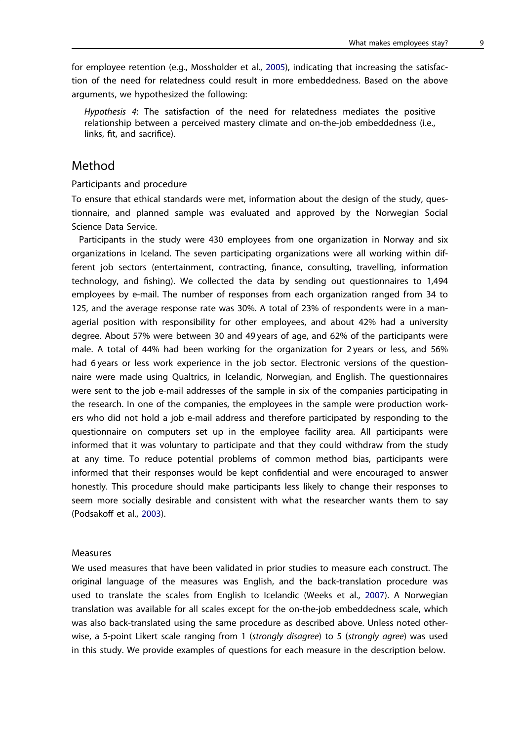<span id="page-9-0"></span>for employee retention (e.g., Mossholder et al., [2005\)](#page-23-0), indicating that increasing the satisfaction of the need for relatedness could result in more embeddedness. Based on the above arguments, we hypothesized the following:

Hypothesis 4: The satisfaction of the need for relatedness mediates the positive relationship between a perceived mastery climate and on-the-job embeddedness (i.e., links, fit, and sacrifice).

# Method

#### Participants and procedure

To ensure that ethical standards were met, information about the design of the study, questionnaire, and planned sample was evaluated and approved by the Norwegian Social Science Data Service.

Participants in the study were 430 employees from one organization in Norway and six organizations in Iceland. The seven participating organizations were all working within different job sectors (entertainment, contracting, finance, consulting, travelling, information technology, and fishing). We collected the data by sending out questionnaires to 1,494 employees by e-mail. The number of responses from each organization ranged from 34 to 125, and the average response rate was 30%. A total of 23% of respondents were in a managerial position with responsibility for other employees, and about 42% had a university degree. About 57% were between 30 and 49 years of age, and 62% of the participants were male. A total of 44% had been working for the organization for 2 years or less, and 56% had 6 years or less work experience in the job sector. Electronic versions of the questionnaire were made using Qualtrics, in Icelandic, Norwegian, and English. The questionnaires were sent to the job e-mail addresses of the sample in six of the companies participating in the research. In one of the companies, the employees in the sample were production workers who did not hold a job e-mail address and therefore participated by responding to the questionnaire on computers set up in the employee facility area. All participants were informed that it was voluntary to participate and that they could withdraw from the study at any time. To reduce potential problems of common method bias, participants were informed that their responses would be kept confidential and were encouraged to answer honestly. This procedure should make participants less likely to change their responses to seem more socially desirable and consistent with what the researcher wants them to say (Podsakoff et al., [2003\)](#page-24-0).

## Measures

We used measures that have been validated in prior studies to measure each construct. The original language of the measures was English, and the back-translation procedure was used to translate the scales from English to Icelandic (Weeks et al., [2007\)](#page-25-0). A Norwegian translation was available for all scales except for the on-the-job embeddedness scale, which was also back-translated using the same procedure as described above. Unless noted otherwise, a 5-point Likert scale ranging from 1 (strongly disagree) to 5 (strongly agree) was used in this study. We provide examples of questions for each measure in the description below.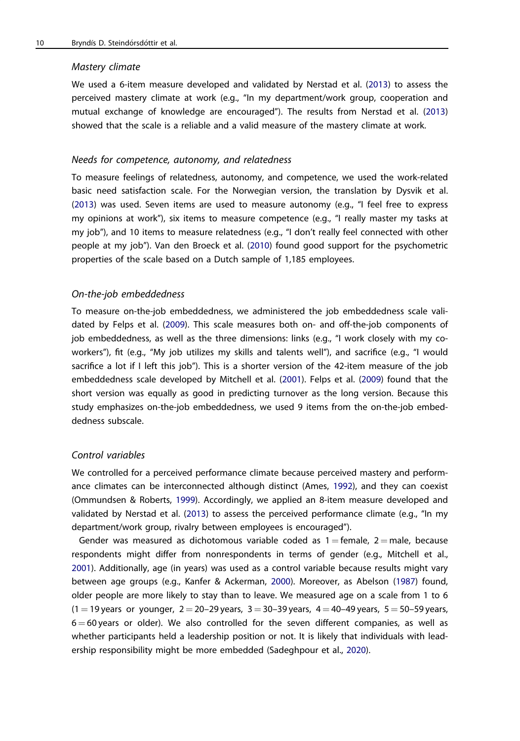# <span id="page-10-0"></span>Mastery climate

We used a 6-item measure developed and validated by Nerstad et al. ([2013](#page-23-0)) to assess the perceived mastery climate at work (e.g., "In my department/work group, cooperation and mutual exchange of knowledge are encouraged"). The results from Nerstad et al. [\(2013\)](#page-23-0) showed that the scale is a reliable and a valid measure of the mastery climate at work.

### Needs for competence, autonomy, and relatedness

To measure feelings of relatedness, autonomy, and competence, we used the work-related basic need satisfaction scale. For the Norwegian version, the translation by Dysvik et al. ([2013](#page-22-0)) was used. Seven items are used to measure autonomy (e.g., "I feel free to express my opinions at work"), six items to measure competence (e.g., "I really master my tasks at my job"), and 10 items to measure relatedness (e.g., "I don't really feel connected with other people at my job"). Van den Broeck et al. [\(2010\)](#page-25-0) found good support for the psychometric properties of the scale based on a Dutch sample of 1,185 employees.

## On-the-job embeddedness

To measure on-the-job embeddedness, we administered the job embeddedness scale validated by Felps et al. ([2009](#page-22-0)). This scale measures both on- and off-the-job components of job embeddedness, as well as the three dimensions: links (e.g., "I work closely with my coworkers"), fit (e.g., "My job utilizes my skills and talents well"), and sacrifice (e.g., "I would sacrifice a lot if I left this job"). This is a shorter version of the 42-item measure of the job embeddedness scale developed by Mitchell et al. ([2001](#page-23-0)). Felps et al. [\(2009\)](#page-22-0) found that the short version was equally as good in predicting turnover as the long version. Because this study emphasizes on-the-job embeddedness, we used 9 items from the on-the-job embeddedness subscale.

## Control variables

We controlled for a perceived performance climate because perceived mastery and performance climates can be interconnected although distinct (Ames, [1992\)](#page-21-0), and they can coexist (Ommundsen & Roberts, [1999](#page-24-0)). Accordingly, we applied an 8-item measure developed and validated by Nerstad et al. [\(2013](#page-23-0)) to assess the perceived performance climate (e.g., "In my department/work group, rivalry between employees is encouraged").

Gender was measured as dichotomous variable coded as  $1 =$  female,  $2 =$  male, because respondents might differ from nonrespondents in terms of gender (e.g., Mitchell et al., [2001\)](#page-23-0). Additionally, age (in years) was used as a control variable because results might vary between age groups (e.g., Kanfer & Ackerman, [2000\)](#page-23-0). Moreover, as Abelson ([1987](#page-21-0)) found, older people are more likely to stay than to leave. We measured age on a scale from 1 to 6  $(1 = 19$  years or younger,  $2 = 20 - 29$  years,  $3 = 30 - 39$  years,  $4 = 40 - 49$  years,  $5 = 50 - 59$  years,  $6 = 60$  years or older). We also controlled for the seven different companies, as well as whether participants held a leadership position or not. It is likely that individuals with leadership responsibility might be more embedded (Sadeghpour et al., [2020](#page-24-0)).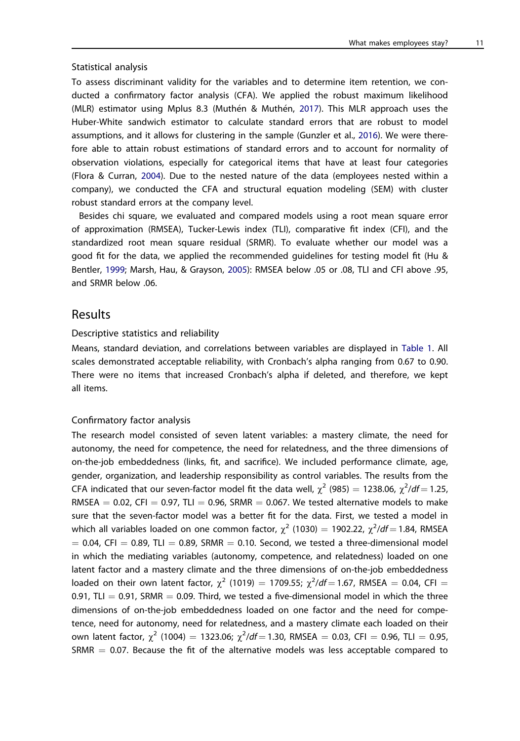## <span id="page-11-0"></span>Statistical analysis

To assess discriminant validity for the variables and to determine item retention, we conducted a confirmatory factor analysis (CFA). We applied the robust maximum likelihood (MLR) estimator using Mplus 8.3 (Muthén & Muthén, [2017\)](#page-23-0). This MLR approach uses the Huber-White sandwich estimator to calculate standard errors that are robust to model assumptions, and it allows for clustering in the sample (Gunzler et al., [2016\)](#page-22-0). We were therefore able to attain robust estimations of standard errors and to account for normality of observation violations, especially for categorical items that have at least four categories (Flora & Curran, [2004](#page-22-0)). Due to the nested nature of the data (employees nested within a company), we conducted the CFA and structural equation modeling (SEM) with cluster robust standard errors at the company level.

Besides chi square, we evaluated and compared models using a root mean square error of approximation (RMSEA), Tucker-Lewis index (TLI), comparative fit index (CFI), and the standardized root mean square residual (SRMR). To evaluate whether our model was a good fit for the data, we applied the recommended guidelines for testing model fit (Hu & Bentler, [1999](#page-22-0); Marsh, Hau, & Grayson, [2005\)](#page-23-0): RMSEA below .05 or .08, TLI and CFI above .95, and SRMR below .06.

# Results

## Descriptive statistics and reliability

Means, standard deviation, and correlations between variables are displayed in [Table 1](#page-12-0). All scales demonstrated acceptable reliability, with Cronbach's alpha ranging from 0.67 to 0.90. There were no items that increased Cronbach's alpha if deleted, and therefore, we kept all items.

#### Confirmatory factor analysis

The research model consisted of seven latent variables: a mastery climate, the need for autonomy, the need for competence, the need for relatedness, and the three dimensions of on-the-job embeddedness (links, fit, and sacrifice). We included performance climate, age, gender, organization, and leadership responsibility as control variables. The results from the CFA indicated that our seven-factor model fit the data well,  $\chi^2$  (985)  $= 1238.06$ ,  $\chi^2/df = 1.25$ , RMSEA =  $0.02$ , CFI =  $0.97$ , TLI =  $0.96$ , SRMR =  $0.067$ . We tested alternative models to make sure that the seven-factor model was a better fit for the data. First, we tested a model in which all variables loaded on one common factor,  $\chi^2$  (1030)  $=$  1902.22,  $\chi^2/\text{df}$   $=$  1.84, RMSEA  $= 0.04$ , CFI  $= 0.89$ , TLI  $= 0.89$ , SRMR  $= 0.10$ . Second, we tested a three-dimensional model in which the mediating variables (autonomy, competence, and relatedness) loaded on one latent factor and a mastery climate and the three dimensions of on-the-job embeddedness loaded on their own latent factor,  $\chi^2$  (1019) = 1709.55;  $\chi^2/df$  = 1.67, RMSEA = 0.04, CFI = 0.91, TLI  $=$  0.91, SRMR  $=$  0.09. Third, we tested a five-dimensional model in which the three dimensions of on-the-job embeddedness loaded on one factor and the need for competence, need for autonomy, need for relatedness, and a mastery climate each loaded on their own latent factor,  $\chi^2$  (1004) = 1323.06;  $\chi^2/df = 1.30$ , RMSEA = 0.03, CFI = 0.96, TLI = 0.95,  $SRMR = 0.07$ . Because the fit of the alternative models was less acceptable compared to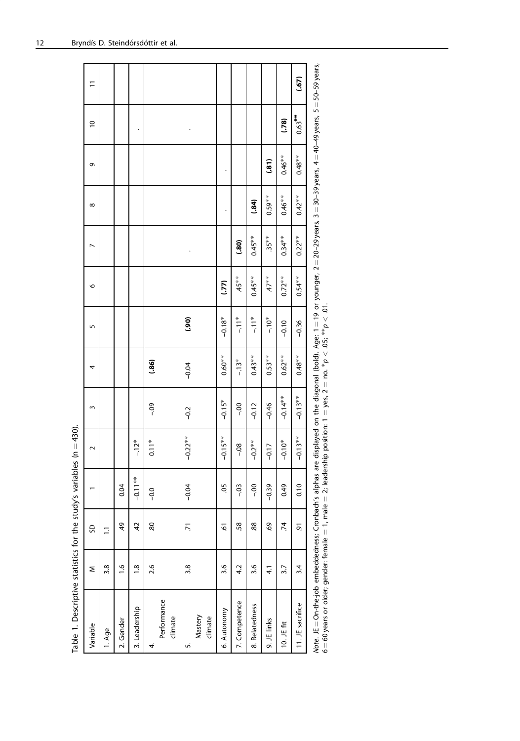<span id="page-12-0"></span>

|                                                                          | $\overline{1}$ |        |               |               |          |                       |           |                   |             |                 |                |               |            | (67)             |                    |
|--------------------------------------------------------------------------|----------------|--------|---------------|---------------|----------|-----------------------|-----------|-------------------|-------------|-----------------|----------------|---------------|------------|------------------|--------------------|
|                                                                          | $\approx$      |        |               |               |          |                       |           |                   |             |                 |                |               | (.78)      | $0.63***$        |                    |
|                                                                          | Q              |        |               |               |          |                       |           |                   |             |                 |                | $\mathbf{g}$  | $0.46**$   | $0.48***$        |                    |
|                                                                          | $\infty$       |        |               |               |          |                       |           |                   |             |                 | $\mathbf{g}$   | $0.59***$     | $0.46**$   | $0.42***$        | $\tilde{z}$        |
|                                                                          | N              |        |               |               |          |                       |           |                   |             | $\overline{30}$ | $0.45***$      | $35**$        | $0.34***$  | $0.22***$        | $\tilde{z}$        |
|                                                                          | $\circ$        |        |               |               |          |                       |           |                   | (77)        | $45**$          | $0.45***$      | $.47**$       | $0.72**$   | $0.54***$        |                    |
|                                                                          | 5              |        |               |               |          |                       | <b>SC</b> |                   | $-0.18*$    | $\frac{1}{i}$   | $\frac{1}{2}$  | $-10*$        | $-0.10$    | $-0.36$          |                    |
|                                                                          | 4              |        |               |               | (.86)    |                       | $-0.04$   |                   | $0.60**$    | $-13*$          | $0.43**$       | $0.53**$      | $0.62**$   | $0.48***$        | $\ddot{ }$         |
|                                                                          | ω              |        |               |               | وم.<br>- |                       | $-0.2$    |                   | $-0.15*$    | $-00$           | $-0.12$        | $-0.46$       | $-0.14**$  | $-0.13**$        |                    |
|                                                                          | $\sim$         |        |               | $-12*$        | $0.11*$  |                       | $-0.22**$ |                   | $-0.15**$   | $-08$           | $-0.2**$       | $-0.17$       | $-0.10*$   | $-0.13**$        | $\frac{1}{2}$      |
|                                                                          |                |        | 0.04          | $-0.11*$      | $-0.0$   |                       | $-0.04$   |                   | <b>95</b>   | $-03$           | $-0.0$         | $-0.39$       | 0.49       | 0.10             |                    |
|                                                                          | SD             | Ξ      | ą.            | 42            | 80       |                       | Ľ.        |                   | ć.          | 58              | 88             | S9            | $\ddot{z}$ | ë.               |                    |
|                                                                          | Σ              | 3.8    | $\frac{6}{1}$ | 1.8           | 2.6      |                       | 3.8       |                   | 3.6         | 4.2             | 3.6            | $\frac{1}{4}$ | 3.7        | 3.4              |                    |
| Table 1. Descriptive statistics for the study's variables ( $n = 430$ ). | Variable       | 1. Age | 2. Gender     | 3. Leadership | 4.       | Performance<br>dimate | Ln'       | Mastery<br>dimate | 6. Autonomy | 7. Competence   | 8. Relatedness | 9. JE links   | 10. JE fit | 11. JE sacrifice | $\ddot{\ddot{\ }}$ |

Note. JE $=$  On-the-job embeddedness; Cronbach's alphas are displayed on the diagonal (bold). Age: 1  $=$  19 or younger, 2  $=$  20–39 years, 3  $=$  30–39 years, 5  $=$  50–59 years,  $\epsilon$ 6=60 years or older; gender: female  $=$  1, male  $=$  2; leadership position: 1  $=$  yes, 2  $=$  no.  $^{\ast}$  $p < .05;$  \*\* $p < .01$ .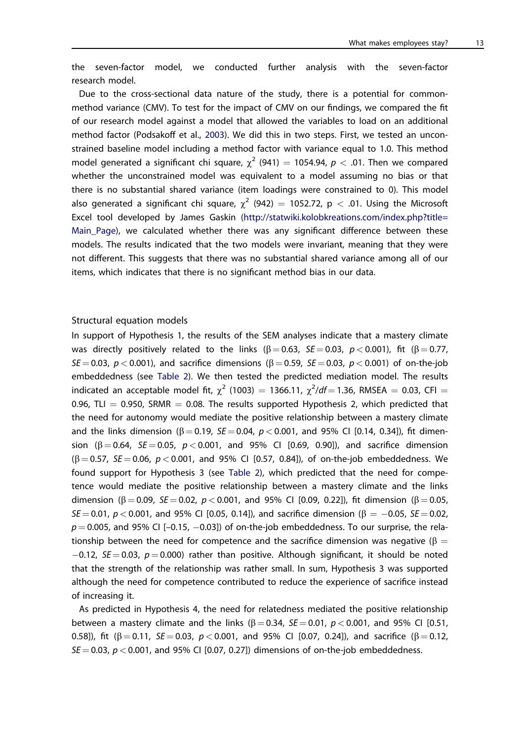the seven-factor model, we conducted further analysis with the seven-factor research model.

Due to the cross-sectional data nature of the study, there is a potential for commonmethod variance (CMV). To test for the impact of CMV on our findings, we compared the fit of our research model against a model that allowed the variables to load on an additional method factor (Podsakoff et al., [2003\)](#page-24-0). We did this in two steps. First, we tested an unconstrained baseline model including a method factor with variance equal to 1.0. This method model generated a significant chi square,  $\chi^2$  (941) = 1054.94, p < .01. Then we compared whether the unconstrained model was equivalent to a model assuming no bias or that there is no substantial shared variance (item loadings were constrained to 0). This model also generated a significant chi square,  $\chi^2$  (942) = 1052.72, p < .01. Using the Microsoft Excel tool developed by James Gaskin [\(http://statwiki.kolobkreations.com/index.php?title=](http://statwiki.kolobkreations.com/index.php?title=Main_Page) Main Page), we calculated whether there was any significant difference between these models. The results indicated that the two models were invariant, meaning that they were not different. This suggests that there was no substantial shared variance among all of our items, which indicates that there is no significant method bias in our data.

## Structural equation models

In support of Hypothesis 1, the results of the SEM analyses indicate that a mastery climate was directly positively related to the links  $(\beta = 0.63, \, \text{SE} = 0.03, \, \text{p} < 0.001)$ , fit  $(\beta = 0.77, \, \text{S} = 0.001)$  $SE = 0.03$ ,  $p < 0.001$ ), and sacrifice dimensions ( $\beta = 0.59$ ,  $SE = 0.03$ ,  $p < 0.001$ ) of on-the-job embeddedness (see [Table 2\)](#page-14-0). We then tested the predicted mediation model. The results indicated an acceptable model fit,  $\chi^2$  (1003) = 1366.11,  $\chi^2/df$  = 1.36, RMSEA = 0.03, CFI = 0.96, TLI  $=$  0.950, SRMR  $=$  0.08. The results supported Hypothesis 2, which predicted that the need for autonomy would mediate the positive relationship between a mastery climate and the links dimension ( $\beta = 0.19$ ,  $SE = 0.04$ ,  $p < 0.001$ , and 95% CI [0.14, 0.34]), fit dimension ( $\beta = 0.64$ ,  $SE = 0.05$ ,  $p < 0.001$ , and 95% CI [0.69, 0.90]), and sacrifice dimension  $(\beta = 0.57, SE = 0.06, p < 0.001,$  and 95% CI [0.57, 0.84]), of on-the-job embeddedness. We found support for Hypothesis 3 (see [Table 2\)](#page-14-0), which predicted that the need for competence would mediate the positive relationship between a mastery climate and the links dimension ( $\beta = 0.09$ ,  $SE = 0.02$ ,  $p < 0.001$ , and 95% CI [0.09, 0.22]), fit dimension ( $\beta = 0.05$ ,  $SE = 0.01$ ,  $p < 0.001$ , and 95% CI [0.05, 0.14]), and sacrifice dimension ( $\beta = -0.05$ ,  $SE = 0.02$ ,  $p = 0.005$ , and 95% CI  $[-0.15, -0.03]$  of on-the-job embeddedness. To our surprise, the relationship between the need for competence and the sacrifice dimension was negative ( $\beta =$  $-0.12$ , SE = 0.03, p = 0.000) rather than positive. Although significant, it should be noted that the strength of the relationship was rather small. In sum, Hypothesis 3 was supported although the need for competence contributed to reduce the experience of sacrifice instead of increasing it.

As predicted in Hypothesis 4, the need for relatedness mediated the positive relationship between a mastery climate and the links ( $\beta = 0.34$ ,  $SE = 0.01$ ,  $p < 0.001$ , and 95% CI [0.51, 0.58]), fit ( $\beta = 0.11$ ,  $SE = 0.03$ ,  $p < 0.001$ , and 95% CI [0.07, 0.24]), and sacrifice ( $\beta = 0.12$ ,  $SE = 0.03$ ,  $p < 0.001$ , and 95% CI [0.07, 0.27]) dimensions of on-the-job embeddedness.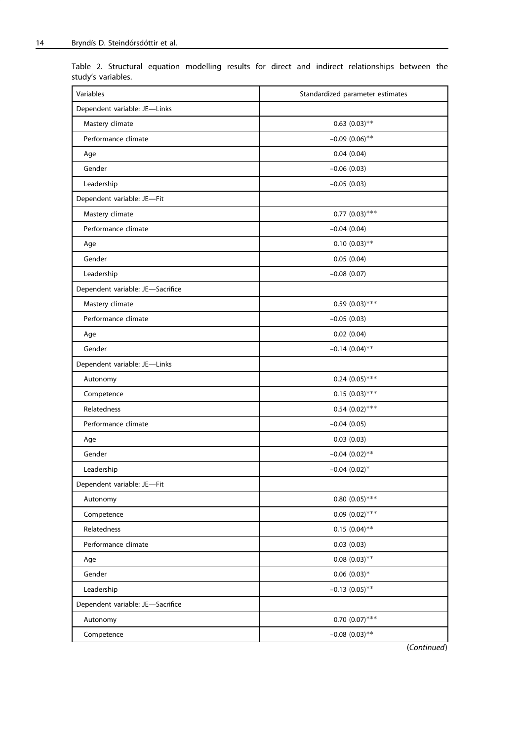<span id="page-14-0"></span>Table 2. Structural equation modelling results for direct and indirect relationships between the study's variables.

| Variables                        | Standardized parameter estimates |
|----------------------------------|----------------------------------|
| Dependent variable: JE-Links     |                                  |
| Mastery climate                  | $0.63$ $(0.03)$ **               |
| Performance climate              | $-0.09(0.06)$ **                 |
| Age                              | 0.04(0.04)                       |
| Gender                           | $-0.06(0.03)$                    |
| Leadership                       | $-0.05(0.03)$                    |
| Dependent variable: JE-Fit       |                                  |
| Mastery climate                  | $0.77$ $(0.03)$ ***              |
| Performance climate              | $-0.04(0.04)$                    |
| Age                              | $0.10~(0.03)$ **                 |
| Gender                           | 0.05(0.04)                       |
| Leadership                       | $-0.08(0.07)$                    |
| Dependent variable: JE-Sacrifice |                                  |
| Mastery climate                  | $0.59(0.03)$ ***                 |
| Performance climate              | $-0.05(0.03)$                    |
| Age                              | 0.02(0.04)                       |
| Gender                           | $-0.14(0.04)$ **                 |
| Dependent variable: JE-Links     |                                  |
| Autonomy                         | $0.24$ $(0.05)$ ***              |
| Competence                       | $0.15(0.03)$ ***                 |
| Relatedness                      | $0.54(0.02)$ ***                 |
| Performance climate              | $-0.04(0.05)$                    |
| Age                              | 0.03(0.03)                       |
| Gender                           | $-0.04$ (0.02) <sup>**</sup>     |
| Leadership                       | $-0.04$ (0.02) <sup>*</sup>      |
| Dependent variable: JE-Fit       |                                  |
| Autonomy                         | $0.80~(0.05)$ ***                |
| Competence                       | $0.09$ $(0.02)$ ***              |
| Relatedness                      | $0.15(0.04)$ **                  |
| Performance climate              | 0.03(0.03)                       |
| Age                              | $0.08$ $(0.03)$ **               |
| Gender                           | $0.06(0.03)*$                    |
| Leadership                       | $-0.13(0.05)$ **                 |
| Dependent variable: JE-Sacrifice |                                  |
| Autonomy                         | $0.70(0.07)$ ***                 |
| Competence                       | $-0.08(0.03)$ **                 |

(Continued)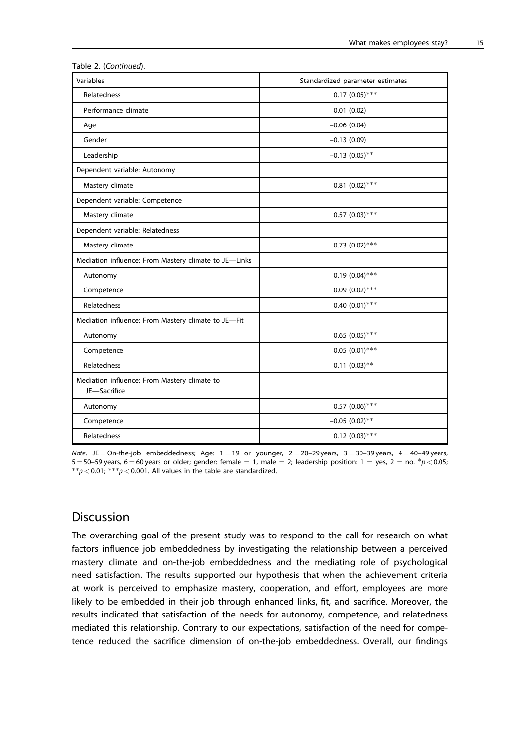| Variables                                                    | Standardized parameter estimates |
|--------------------------------------------------------------|----------------------------------|
| Relatedness                                                  | $0.17~(0.05)$ ***                |
| Performance climate                                          | 0.01(0.02)                       |
| Age                                                          | $-0.06(0.04)$                    |
| Gender                                                       | $-0.13(0.09)$                    |
| Leadership                                                   | $-0.13$ (0.05) <sup>**</sup>     |
| Dependent variable: Autonomy                                 |                                  |
| Mastery climate                                              | $0.81(0.02)$ ***                 |
| Dependent variable: Competence                               |                                  |
| Mastery climate                                              | $0.57(0.03)$ ***                 |
| Dependent variable: Relatedness                              |                                  |
| Mastery climate                                              | $0.73$ $(0.02)$ ***              |
| Mediation influence: From Mastery climate to JE-Links        |                                  |
| Autonomy                                                     | $0.19(0.04)$ ***                 |
| Competence                                                   | $0.09(0.02)$ ***                 |
| Relatedness                                                  | 0.40 $(0.01)$ ***                |
| Mediation influence: From Mastery climate to JE-Fit          |                                  |
| Autonomy                                                     | $0.65(0.05)$ ***                 |
| Competence                                                   | $0.05(0.01)$ ***                 |
| <b>Relatedness</b>                                           | $0.11(0.03)$ **                  |
| Mediation influence: From Mastery climate to<br>JE-Sacrifice |                                  |
| Autonomy                                                     | $0.57$ $(0.06)$ ***              |
| Competence                                                   | $-0.05$ (0.02) <sup>**</sup>     |
| Relatedness                                                  | $0.12(0.03)$ ***                 |

Table 2. (Continued).

Note. JE = On-the-job embeddedness; Age:  $1 = 19$  or younger,  $2 = 20-29$  years,  $3 = 30-39$  years,  $4 = 40-49$  years,  $5 = 50-59$  years,  $6 = 60$  years or older; gender: female  $= 1$ , male  $= 2$ ; leadership position:  $1 =$  yes,  $2 =$  no.  $*p < 0.05$ ;  $^{**}p$  < 0.01;  $^{***}p$  < 0.001. All values in the table are standardized.

# Discussion

The overarching goal of the present study was to respond to the call for research on what factors influence job embeddedness by investigating the relationship between a perceived mastery climate and on-the-job embeddedness and the mediating role of psychological need satisfaction. The results supported our hypothesis that when the achievement criteria at work is perceived to emphasize mastery, cooperation, and effort, employees are more likely to be embedded in their job through enhanced links, fit, and sacrifice. Moreover, the results indicated that satisfaction of the needs for autonomy, competence, and relatedness mediated this relationship. Contrary to our expectations, satisfaction of the need for competence reduced the sacrifice dimension of on-the-job embeddedness. Overall, our findings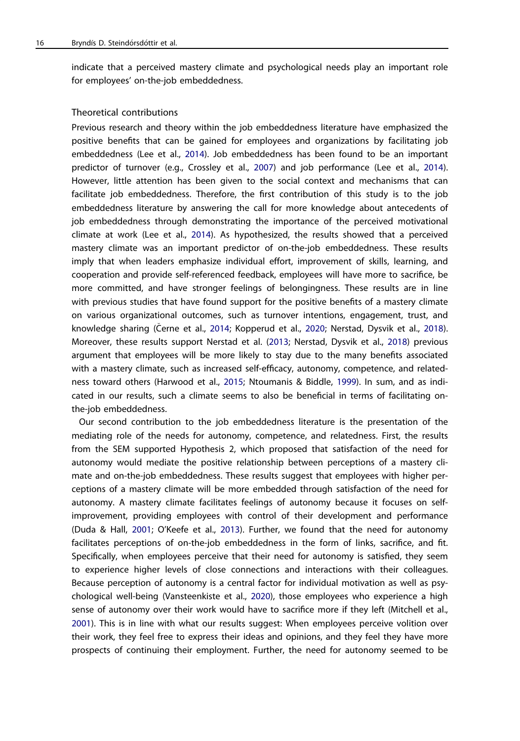<span id="page-16-0"></span>indicate that a perceived mastery climate and psychological needs play an important role for employees' on-the-job embeddedness.

# Theoretical contributions

Previous research and theory within the job embeddedness literature have emphasized the positive benefits that can be gained for employees and organizations by facilitating job embeddedness (Lee et al., [2014](#page-23-0)). Job embeddedness has been found to be an important predictor of turnover (e.g., Crossley et al., [2007](#page-21-0)) and job performance (Lee et al., [2014\)](#page-23-0). However, little attention has been given to the social context and mechanisms that can facilitate job embeddedness. Therefore, the first contribution of this study is to the job embeddedness literature by answering the call for more knowledge about antecedents of job embeddedness through demonstrating the importance of the perceived motivational climate at work (Lee et al., [2014](#page-23-0)). As hypothesized, the results showed that a perceived mastery climate was an important predictor of on-the-job embeddedness. These results imply that when leaders emphasize individual effort, improvement of skills, learning, and cooperation and provide self-referenced feedback, employees will have more to sacrifice, be more committed, and have stronger feelings of belongingness. These results are in line with previous studies that have found support for the positive benefits of a mastery climate on various organizational outcomes, such as turnover intentions, engagement, trust, and knowledge sharing (Cerne et al., [2014;](#page-21-0) Kopperud et al., [2020](#page-23-0); Nerstad, Dysvik et al., [2018\)](#page-23-0). Moreover, these results support Nerstad et al. [\(2013;](#page-23-0) Nerstad, Dysvik et al., [2018](#page-23-0)) previous argument that employees will be more likely to stay due to the many benefits associated with a mastery climate, such as increased self-efficacy, autonomy, competence, and relatedness toward others (Harwood et al., [2015;](#page-22-0) Ntoumanis & Biddle, [1999](#page-24-0)). In sum, and as indicated in our results, such a climate seems to also be beneficial in terms of facilitating onthe-job embeddedness.

Our second contribution to the job embeddedness literature is the presentation of the mediating role of the needs for autonomy, competence, and relatedness. First, the results from the SEM supported Hypothesis 2, which proposed that satisfaction of the need for autonomy would mediate the positive relationship between perceptions of a mastery climate and on-the-job embeddedness. These results suggest that employees with higher perceptions of a mastery climate will be more embedded through satisfaction of the need for autonomy. A mastery climate facilitates feelings of autonomy because it focuses on selfimprovement, providing employees with control of their development and performance (Duda & Hall, [2001;](#page-22-0) O'Keefe et al., [2013\)](#page-24-0). Further, we found that the need for autonomy facilitates perceptions of on-the-job embeddedness in the form of links, sacrifice, and fit. Specifically, when employees perceive that their need for autonomy is satisfied, they seem to experience higher levels of close connections and interactions with their colleagues. Because perception of autonomy is a central factor for individual motivation as well as psychological well-being (Vansteenkiste et al., [2020\)](#page-25-0), those employees who experience a high sense of autonomy over their work would have to sacrifice more if they left (Mitchell et al., [2001\)](#page-23-0). This is in line with what our results suggest: When employees perceive volition over their work, they feel free to express their ideas and opinions, and they feel they have more prospects of continuing their employment. Further, the need for autonomy seemed to be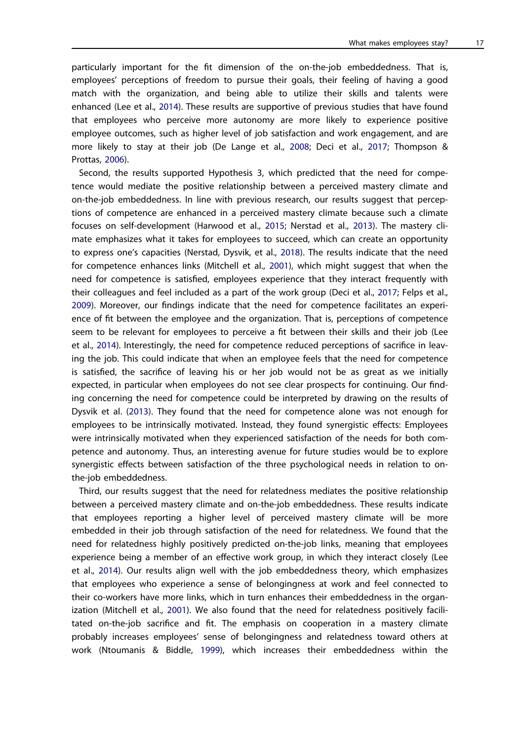<span id="page-17-0"></span>particularly important for the fit dimension of the on-the-job embeddedness. That is, employees' perceptions of freedom to pursue their goals, their feeling of having a good match with the organization, and being able to utilize their skills and talents were enhanced (Lee et al., [2014](#page-23-0)). These results are supportive of previous studies that have found that employees who perceive more autonomy are more likely to experience positive employee outcomes, such as higher level of job satisfaction and work engagement, and are more likely to stay at their job (De Lange et al., [2008](#page-21-0); Deci et al., [2017;](#page-22-0) Thompson & Prottas, [2006\)](#page-25-0).

Second, the results supported Hypothesis 3, which predicted that the need for competence would mediate the positive relationship between a perceived mastery climate and on-the-job embeddedness. In line with previous research, our results suggest that perceptions of competence are enhanced in a perceived mastery climate because such a climate focuses on self-development (Harwood et al., [2015](#page-22-0); Nerstad et al., [2013\)](#page-23-0). The mastery climate emphasizes what it takes for employees to succeed, which can create an opportunity to express one's capacities (Nerstad, Dysvik, et al., [2018\)](#page-23-0). The results indicate that the need for competence enhances links (Mitchell et al., [2001](#page-23-0)), which might suggest that when the need for competence is satisfied, employees experience that they interact frequently with their colleagues and feel included as a part of the work group (Deci et al., [2017;](#page-22-0) Felps et al., [2009\)](#page-22-0). Moreover, our findings indicate that the need for competence facilitates an experience of fit between the employee and the organization. That is, perceptions of competence seem to be relevant for employees to perceive a fit between their skills and their job (Lee et al., [2014](#page-23-0)). Interestingly, the need for competence reduced perceptions of sacrifice in leaving the job. This could indicate that when an employee feels that the need for competence is satisfied, the sacrifice of leaving his or her job would not be as great as we initially expected, in particular when employees do not see clear prospects for continuing. Our finding concerning the need for competence could be interpreted by drawing on the results of Dysvik et al. [\(2013\)](#page-22-0). They found that the need for competence alone was not enough for employees to be intrinsically motivated. Instead, they found synergistic effects: Employees were intrinsically motivated when they experienced satisfaction of the needs for both competence and autonomy. Thus, an interesting avenue for future studies would be to explore synergistic effects between satisfaction of the three psychological needs in relation to onthe-job embeddedness.

Third, our results suggest that the need for relatedness mediates the positive relationship between a perceived mastery climate and on-the-job embeddedness. These results indicate that employees reporting a higher level of perceived mastery climate will be more embedded in their job through satisfaction of the need for relatedness. We found that the need for relatedness highly positively predicted on-the-job links, meaning that employees experience being a member of an effective work group, in which they interact closely (Lee et al., [2014](#page-23-0)). Our results align well with the job embeddedness theory, which emphasizes that employees who experience a sense of belongingness at work and feel connected to their co-workers have more links, which in turn enhances their embeddedness in the organization (Mitchell et al., [2001](#page-23-0)). We also found that the need for relatedness positively facilitated on-the-job sacrifice and fit. The emphasis on cooperation in a mastery climate probably increases employees' sense of belongingness and relatedness toward others at work (Ntoumanis & Biddle, [1999\)](#page-24-0), which increases their embeddedness within the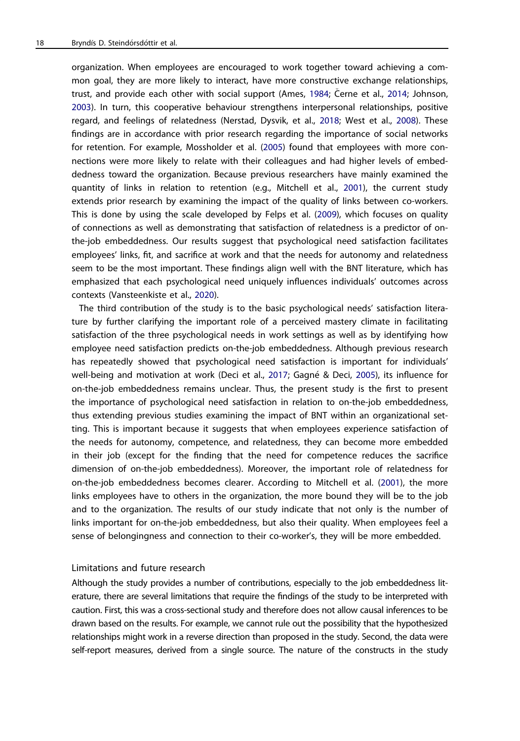organization. When employees are encouraged to work together toward achieving a common goal, they are more likely to interact, have more constructive exchange relationships, trust, and provide each other with social support (Ames, [1984;](#page-21-0) Cerne et al., [2014](#page-21-0); Johnson, [2003\)](#page-23-0). In turn, this cooperative behaviour strengthens interpersonal relationships, positive regard, and feelings of relatedness (Nerstad, Dysvik, et al., [2018;](#page-23-0) West et al., [2008\)](#page-25-0). These findings are in accordance with prior research regarding the importance of social networks for retention. For example, Mossholder et al. ([2005](#page-23-0)) found that employees with more connections were more likely to relate with their colleagues and had higher levels of embeddedness toward the organization. Because previous researchers have mainly examined the quantity of links in relation to retention (e.g., Mitchell et al., [2001](#page-23-0)), the current study extends prior research by examining the impact of the quality of links between co-workers. This is done by using the scale developed by Felps et al. ([2009](#page-22-0)), which focuses on quality of connections as well as demonstrating that satisfaction of relatedness is a predictor of onthe-job embeddedness. Our results suggest that psychological need satisfaction facilitates employees' links, fit, and sacrifice at work and that the needs for autonomy and relatedness seem to be the most important. These findings align well with the BNT literature, which has emphasized that each psychological need uniquely influences individuals' outcomes across contexts (Vansteenkiste et al., [2020](#page-25-0)).

The third contribution of the study is to the basic psychological needs' satisfaction literature by further clarifying the important role of a perceived mastery climate in facilitating satisfaction of the three psychological needs in work settings as well as by identifying how employee need satisfaction predicts on-the-job embeddedness. Although previous research has repeatedly showed that psychological need satisfaction is important for individuals' well-being and motivation at work (Deci et al., [2017](#page-22-0); Gagn e & Deci, [2005](#page-22-0)), its influence for on-the-job embeddedness remains unclear. Thus, the present study is the first to present the importance of psychological need satisfaction in relation to on-the-job embeddedness, thus extending previous studies examining the impact of BNT within an organizational setting. This is important because it suggests that when employees experience satisfaction of the needs for autonomy, competence, and relatedness, they can become more embedded in their job (except for the finding that the need for competence reduces the sacrifice dimension of on-the-job embeddedness). Moreover, the important role of relatedness for on-the-job embeddedness becomes clearer. According to Mitchell et al. [\(2001\)](#page-23-0), the more links employees have to others in the organization, the more bound they will be to the job and to the organization. The results of our study indicate that not only is the number of links important for on-the-job embeddedness, but also their quality. When employees feel a sense of belongingness and connection to their co-worker's, they will be more embedded.

# Limitations and future research

Although the study provides a number of contributions, especially to the job embeddedness literature, there are several limitations that require the findings of the study to be interpreted with caution. First, this was a cross-sectional study and therefore does not allow causal inferences to be drawn based on the results. For example, we cannot rule out the possibility that the hypothesized relationships might work in a reverse direction than proposed in the study. Second, the data were self-report measures, derived from a single source. The nature of the constructs in the study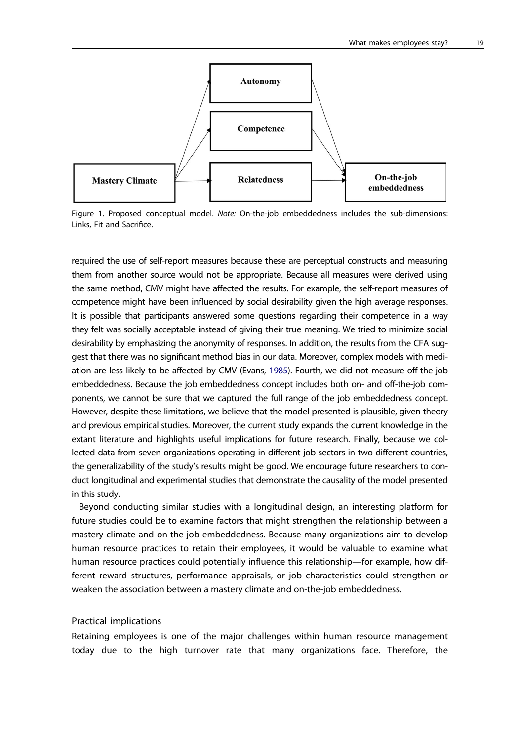<span id="page-19-0"></span>

Figure 1. Proposed conceptual model. Note: On-the-job embeddedness includes the sub-dimensions: Links, Fit and Sacrifice.

required the use of self-report measures because these are perceptual constructs and measuring them from another source would not be appropriate. Because all measures were derived using the same method, CMV might have affected the results. For example, the self-report measures of competence might have been influenced by social desirability given the high average responses. It is possible that participants answered some questions regarding their competence in a way they felt was socially acceptable instead of giving their true meaning. We tried to minimize social desirability by emphasizing the anonymity of responses. In addition, the results from the CFA suggest that there was no significant method bias in our data. Moreover, complex models with mediation are less likely to be affected by CMV (Evans, [1985](#page-22-0)). Fourth, we did not measure off-the-job embeddedness. Because the job embeddedness concept includes both on- and off-the-job components, we cannot be sure that we captured the full range of the job embeddedness concept. However, despite these limitations, we believe that the model presented is plausible, given theory and previous empirical studies. Moreover, the current study expands the current knowledge in the extant literature and highlights useful implications for future research. Finally, because we collected data from seven organizations operating in different job sectors in two different countries, the generalizability of the study's results might be good. We encourage future researchers to conduct longitudinal and experimental studies that demonstrate the causality of the model presented in this study.

Beyond conducting similar studies with a longitudinal design, an interesting platform for future studies could be to examine factors that might strengthen the relationship between a mastery climate and on-the-job embeddedness. Because many organizations aim to develop human resource practices to retain their employees, it would be valuable to examine what human resource practices could potentially influence this relationship—for example, how different reward structures, performance appraisals, or job characteristics could strengthen or weaken the association between a mastery climate and on-the-job embeddedness.

### Practical implications

Retaining employees is one of the major challenges within human resource management today due to the high turnover rate that many organizations face. Therefore, the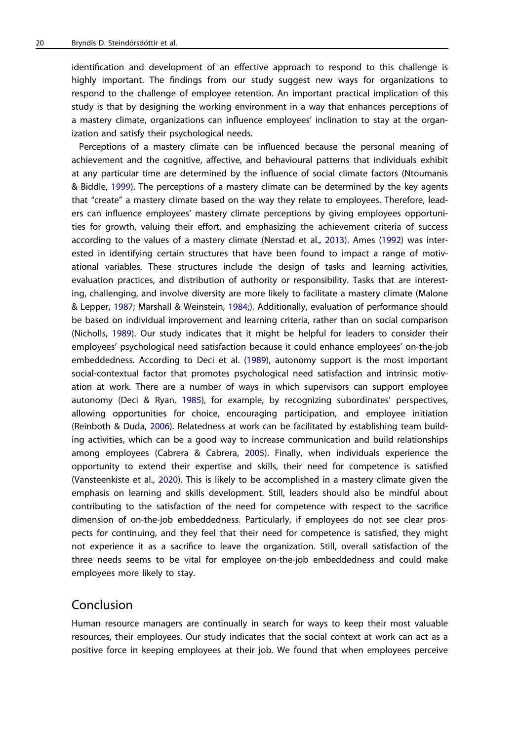<span id="page-20-0"></span>identification and development of an effective approach to respond to this challenge is highly important. The findings from our study suggest new ways for organizations to respond to the challenge of employee retention. An important practical implication of this study is that by designing the working environment in a way that enhances perceptions of a mastery climate, organizations can influence employees' inclination to stay at the organization and satisfy their psychological needs.

Perceptions of a mastery climate can be influenced because the personal meaning of achievement and the cognitive, affective, and behavioural patterns that individuals exhibit at any particular time are determined by the influence of social climate factors (Ntoumanis & Biddle, [1999\)](#page-24-0). The perceptions of a mastery climate can be determined by the key agents that "create" a mastery climate based on the way they relate to employees. Therefore, leaders can influence employees' mastery climate perceptions by giving employees opportunities for growth, valuing their effort, and emphasizing the achievement criteria of success according to the values of a mastery climate (Nerstad et al., [2013\)](#page-23-0). Ames [\(1992\)](#page-21-0) was interested in identifying certain structures that have been found to impact a range of motivational variables. These structures include the design of tasks and learning activities, evaluation practices, and distribution of authority or responsibility. Tasks that are interesting, challenging, and involve diversity are more likely to facilitate a mastery climate (Malone & Lepper, [1987](#page-23-0); Marshall & Weinstein, [1984](#page-23-0);). Additionally, evaluation of performance should be based on individual improvement and learning criteria, rather than on social comparison (Nicholls, [1989\)](#page-24-0). Our study indicates that it might be helpful for leaders to consider their employees' psychological need satisfaction because it could enhance employees' on-the-job embeddedness. According to Deci et al. [\(1989\)](#page-21-0), autonomy support is the most important social-contextual factor that promotes psychological need satisfaction and intrinsic motivation at work. There are a number of ways in which supervisors can support employee autonomy (Deci & Ryan, [1985](#page-22-0)), for example, by recognizing subordinates' perspectives, allowing opportunities for choice, encouraging participation, and employee initiation (Reinboth & Duda, [2006\)](#page-24-0). Relatedness at work can be facilitated by establishing team building activities, which can be a good way to increase communication and build relationships among employees (Cabrera & Cabrera, [2005\)](#page-21-0). Finally, when individuals experience the opportunity to extend their expertise and skills, their need for competence is satisfied (Vansteenkiste et al., [2020\)](#page-25-0). This is likely to be accomplished in a mastery climate given the emphasis on learning and skills development. Still, leaders should also be mindful about contributing to the satisfaction of the need for competence with respect to the sacrifice dimension of on-the-job embeddedness. Particularly, if employees do not see clear prospects for continuing, and they feel that their need for competence is satisfied, they might not experience it as a sacrifice to leave the organization. Still, overall satisfaction of the three needs seems to be vital for employee on-the-job embeddedness and could make employees more likely to stay.

# Conclusion

Human resource managers are continually in search for ways to keep their most valuable resources, their employees. Our study indicates that the social context at work can act as a positive force in keeping employees at their job. We found that when employees perceive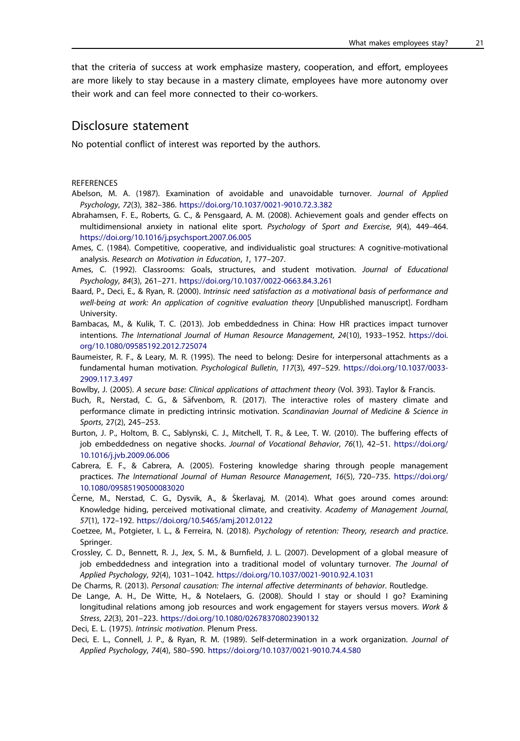<span id="page-21-0"></span>that the criteria of success at work emphasize mastery, cooperation, and effort, employees are more likely to stay because in a mastery climate, employees have more autonomy over their work and can feel more connected to their co-workers.

# Disclosure statement

No potential conflict of interest was reported by the authors.

#### REFERENCES

- Abelson, M. A. [\(1987\)](#page-10-0). Examination of avoidable and unavoidable turnover. Journal of Applied Psychology, 72(3), 382–386. <https://doi.org/10.1037/0021-9010.72.3.382>
- Abrahamsen, F. E., Roberts, G. C., & Pensgaard, A. M. [\(2008\)](#page-7-0). Achievement goals and gender effects on multidimensional anxiety in national elite sport. Psychology of Sport and Exercise, 9(4), 449–464. <https://doi.org/10.1016/j.psychsport.2007.06.005>
- Ames, C. ([1984](#page-5-0)). Competitive, cooperative, and individualistic goal structures: A cognitive-motivational analysis. Research on Motivation in Education, 1, 177–207.
- Ames, C. [\(1992\)](#page-2-0). Classrooms: Goals, structures, and student motivation. Journal of Educational Psychology, 84(3), 261–271. <https://doi.org/10.1037/0022-0663.84.3.261>
- Baard, P., Deci, E., & Ryan, R. [\(2000\)](#page-6-0). Intrinsic need satisfaction as a motivational basis of performance and well-being at work: An application of cognitive evaluation theory [Unpublished manuscript]. Fordham University.
- Bambacas, M., & Kulik, T. C. ([2013](#page-2-0)). Job embeddedness in China: How HR practices impact turnover intentions. The International Journal of Human Resource Management, 24(10), 1933–1952. [https://doi.](https://doi.org/10.1080/09585192.2012.725074) [org/10.1080/09585192.2012.725074](https://doi.org/10.1080/09585192.2012.725074)
- Baumeister, R. F., & Leary, M. R. ([1995\)](#page-6-0). The need to belong: Desire for interpersonal attachments as a fundamental human motivation. Psychological Bulletin, 117(3), 497–529. [https://doi.org/10.1037/0033-](https://doi.org/10.1037/0033-2909.117.3.497) [2909.117.3.497](https://doi.org/10.1037/0033-2909.117.3.497)
- Bowlby, J. ([2005](#page-6-0)). A secure base: Clinical applications of attachment theory (Vol. 393). Taylor & Francis.
- Buch, R., Nerstad, C. G., & Säfvenbom, R. [\(2017\)](#page-7-0). The interactive roles of mastery climate and performance climate in predicting intrinsic motivation. Scandinavian Journal of Medicine & Science in Sports, 27(2), 245–253.
- Burton, J. P., Holtom, B. C., Sablynski, C. J., Mitchell, T. R., & Lee, T. W. ([2010\)](#page-3-0). The buffering effects of job embeddedness on negative shocks. Journal of Vocational Behavior, 76(1), 42–51. [https://doi.org/](https://doi.org/10.1016/j.jvb.2009.06.006) [10.1016/j.jvb.2009.06.006](https://doi.org/10.1016/j.jvb.2009.06.006)
- Cabrera, E. F., & Cabrera, A. ([2005](#page-20-0)). Fostering knowledge sharing through people management practices. The International Journal of Human Resource Management, 16(5), 720–735. [https://doi.org/](https://doi.org/10.1080/09585190500083020) [10.1080/09585190500083020](https://doi.org/10.1080/09585190500083020)
- Cerne, M., Nerstad, C. G., Dysvik, A., & Skerlavaj, M. ([2014](#page-2-0)). What goes around comes around: Knowledge hiding, perceived motivational climate, and creativity. Academy of Management Journal, 57(1), 172–192. <https://doi.org/10.5465/amj.2012.0122>
- Coetzee, M., Potgieter, I. L., & Ferreira, N. [\(2018\)](#page-1-0). Psychology of retention: Theory, research and practice. Springer.
- Crossley, C. D., Bennett, R. J., Jex, S. M., & Burnfield, J. L. [\(2007\)](#page-4-0). Development of a global measure of job embeddedness and integration into a traditional model of voluntary turnover. The Journal of Applied Psychology, 92(4), 1031–1042. <https://doi.org/10.1037/0021-9010.92.4.1031>
- De Charms, R. ([2013](#page-7-0)). Personal causation: The internal affective determinants of behavior. Routledge.
- De Lange, A. H., De Witte, H., & Notelaers, G. [\(2008](#page-1-0)). Should I stay or should I go? Examining longitudinal relations among job resources and work engagement for stayers versus movers. Work & Stress, 22(3), 201–223. <https://doi.org/10.1080/02678370802390132>
- Deci, E. L. ([1975](#page-6-0)). Intrinsic motivation. Plenum Press.
- Deci, E. L., Connell, J. P., & Ryan, R. M. [\(1989\)](#page-7-0). Self-determination in a work organization. Journal of Applied Psychology, 74(4), 580–590. <https://doi.org/10.1037/0021-9010.74.4.580>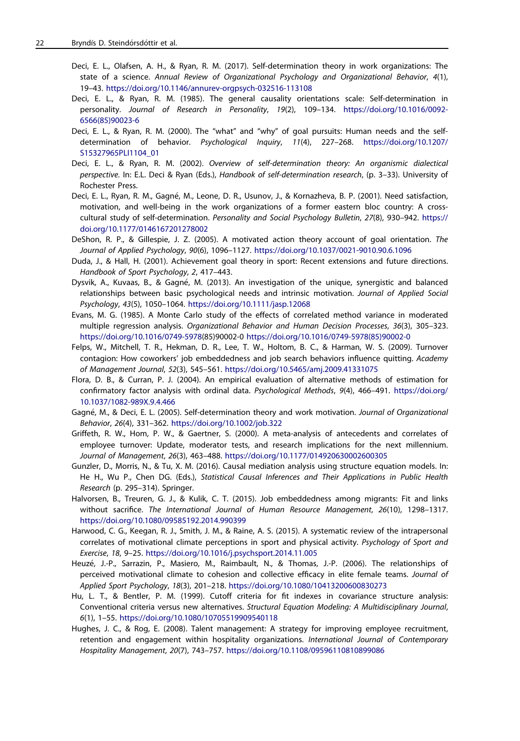- <span id="page-22-0"></span>Deci, E. L., Olafsen, A. H., & Ryan, R. M. ([2017\)](#page-17-0). Self-determination theory in work organizations: The state of a science. Annual Review of Organizational Psychology and Organizational Behavior, 4(1), 19–43. <https://doi.org/10.1146/annurev-orgpsych-032516-113108>
- Deci, E. L., & Ryan, R. M. [\(1985\)](#page-20-0). The general causality orientations scale: Self-determination in personality. Journal of Research in Personality, 19(2), 109–134. [https://doi.org/10.1016/0092-](https://doi.org/10.1016/0092-6566(85)90023-6) [6566\(85\)90023-6](https://doi.org/10.1016/0092-6566(85)90023-6)
- Deci, E. L., & Ryan, R. M. ([2000](#page-6-0)). The "what" and "why" of goal pursuits: Human needs and the selfdetermination of behavior. Psychological Inquiry, 11(4), 227–268. [https://doi.org/10.1207/](https://doi.org/10.1207/S15327965PLI1104_01) [S15327965PLI1104\\_01](https://doi.org/10.1207/S15327965PLI1104_01)
- Deci, E. L., & Ryan, R. M. ([2002](#page-2-0)). Overview of self-determination theory: An organismic dialectical perspective. In: E.L. Deci & Ryan (Eds.), Handbook of self-determination research, (p. 3–33). University of Rochester Press.
- Deci, E. L., Ryan, R. M., Gagné, M., Leone, D. R., Usunov, J., & Kornazheva, B. P. ([2001](#page-6-0)). Need satisfaction, motivation, and well-being in the work organizations of a former eastern bloc country: A crosscultural study of self-determination. Personality and Social Psychology Bulletin, 27(8), 930–942. [https://](https://doi.org/10.1177/0146167201278002) [doi.org/10.1177/0146167201278002](https://doi.org/10.1177/0146167201278002)
- DeShon, R. P., & Gillespie, J. Z. ([2005](#page-8-0)). A motivated action theory account of goal orientation. The Journal of Applied Psychology, 90(6), 1096–1127. <https://doi.org/10.1037/0021-9010.90.6.1096>
- Duda, J., & Hall, H. ([2001](#page-16-0)). Achievement goal theory in sport: Recent extensions and future directions. Handbook of Sport Psychology, 2, 417–443.
- Dysvik, A., Kuvaas, B., & Gagne, M. ([2013\)](#page-10-0). An investigation of the unique, synergistic and balanced relationships between basic psychological needs and intrinsic motivation. Journal of Applied Social Psychology, 43(5), 1050–1064. <https://doi.org/10.1111/jasp.12068>
- Evans, M. G. ([1985](#page-19-0)). A Monte Carlo study of the effects of correlated method variance in moderated multiple regression analysis. Organizational Behavior and Human Decision Processes, 36(3), 305–323. [https://doi.org/10.1016/0749-5978\(](https://doi.org/10.1016/0749-5978)85)90002-0 [https://doi.org/10.1016/0749-5978\(85\)90002-0](https://doi.org/10.1016/0749-5978(85)90002-0)
- Felps, W., Mitchell, T. R., Hekman, D. R., Lee, T. W., Holtom, B. C., & Harman, W. S. ([2009](#page-10-0)). Turnover contagion: How coworkers' job embeddedness and job search behaviors influence quitting. Academy of Management Journal, 52(3), 545–561. <https://doi.org/10.5465/amj.2009.41331075>
- Flora, D. B., & Curran, P. J. [\(2004\)](#page-11-0). An empirical evaluation of alternative methods of estimation for confirmatory factor analysis with ordinal data. Psychological Methods, 9(4), 466–491. [https://doi.org/](https://doi.org/10.1037/1082-989X.9.4.466) [10.1037/1082-989X.9.4.466](https://doi.org/10.1037/1082-989X.9.4.466)
- Gagné, M., & Deci, E. L. ([2005](#page-2-0)). Self-determination theory and work motivation. Journal of Organizational Behavior, 26(4), 331–362. <https://doi.org/10.1002/job.322>
- Griffeth, R. W., Hom, P. W., & Gaertner, S. [\(2000\)](#page-1-0). A meta-analysis of antecedents and correlates of employee turnover: Update, moderator tests, and research implications for the next millennium. Journal of Management, 26(3), 463–488. <https://doi.org/10.1177/014920630002600305>
- Gunzler, D., Morris, N., & Tu, X. M. [\(2016\)](#page-11-0). Causal mediation analysis using structure equation models. In: He H., Wu P., Chen DG. (Eds.), Statistical Causal Inferences and Their Applications in Public Health Research (p. 295–314). Springer.
- Halvorsen, B., Treuren, G. J., & Kulik, C. T. ([2015](#page-3-0)). Job embeddedness among migrants: Fit and links without sacrifice. The International Journal of Human Resource Management, 26(10), 1298–1317. <https://doi.org/10.1080/09585192.2014.990399>
- Harwood, C. G., Keegan, R. J., Smith, J. M., & Raine, A. S. [\(2015\)](#page-2-0). A systematic review of the intrapersonal correlates of motivational climate perceptions in sport and physical activity. Psychology of Sport and Exercise, 18, 9–25. <https://doi.org/10.1016/j.psychsport.2014.11.005>
- Heuz e, J.-P., Sarrazin, P., Masiero, M., Raimbault, N., & Thomas, J.-P. ([2006\)](#page-8-0). The relationships of perceived motivational climate to cohesion and collective efficacy in elite female teams. Journal of Applied Sport Psychology, 18(3), 201–218. <https://doi.org/10.1080/10413200600830273>
- Hu, L. T., & Bentler, P. M. ([1999](#page-11-0)). Cutoff criteria for fit indexes in covariance structure analysis: Conventional criteria versus new alternatives. Structural Equation Modeling: A Multidisciplinary Journal, 6(1), 1–55. <https://doi.org/10.1080/10705519909540118>
- Hughes, J. C., & Rog, E. [\(2008\)](#page-1-0). Talent management: A strategy for improving employee recruitment, retention and engagement within hospitality organizations. International Journal of Contemporary Hospitality Management, 20(7), 743–757. <https://doi.org/10.1108/09596110810899086>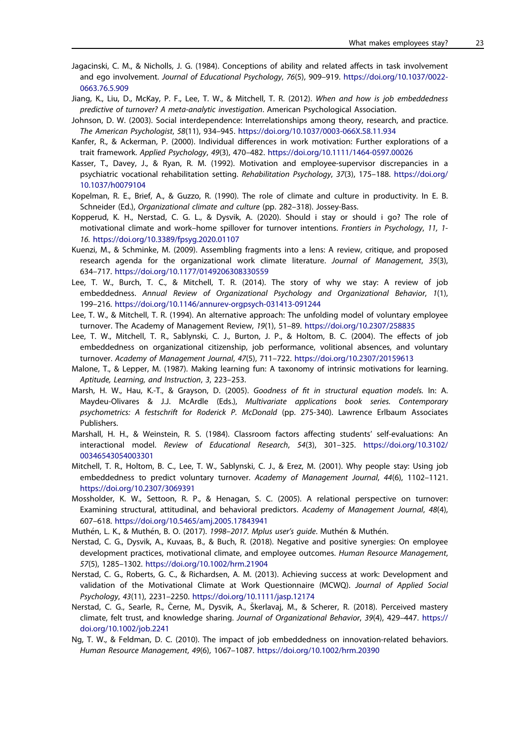- <span id="page-23-0"></span>Jagacinski, C. M., & Nicholls, J. G. ([1984](#page-7-0)). Conceptions of ability and related affects in task involvement and ego involvement. Journal of Educational Psychology, 76(5), 909–919. [https://doi.org/10.1037/0022-](https://doi.org/10.1037/0022-0663.76.5.909) [0663.76.5.909](https://doi.org/10.1037/0022-0663.76.5.909)
- Jiang, K., Liu, D., McKay, P. F., Lee, T. W., & Mitchell, T. R. ([2012](#page-2-0)). When and how is job embeddedness predictive of turnover? A meta-analytic investigation. American Psychological Association.
- Johnson, D. W. ([2003](#page-5-0)). Social interdependence: Interrelationships among theory, research, and practice. The American Psychologist, 58(11), 934–945. <https://doi.org/10.1037/0003-066X.58.11.934>
- Kanfer, R., & Ackerman, P. [\(2000](#page-10-0)). Individual differences in work motivation: Further explorations of a trait framework. Applied Psychology, 49(3), 470–482. <https://doi.org/10.1111/1464-0597.00026>
- Kasser, T., Davey, J., & Ryan, R. M. ([1992\)](#page-6-0). Motivation and employee-supervisor discrepancies in a psychiatric vocational rehabilitation setting. Rehabilitation Psychology, 37(3), 175–188. [https://doi.org/](https://doi.org/10.1037/h0079104) [10.1037/h0079104](https://doi.org/10.1037/h0079104)
- Kopelman, R. E., Brief, A., & Guzzo, R. [\(1990\)](#page-6-0). The role of climate and culture in productivity. In E. B. Schneider (Ed.), Organizational climate and culture (pp. 282–318). Jossey-Bass.
- Kopperud, K. H., Nerstad, C. G. L., & Dysvik, A. [\(2020\)](#page-16-0). Should i stay or should i go? The role of motivational climate and work–home spillover for turnover intentions. Frontiers in Psychology, 11, 1- 16. <https://doi.org/10.3389/fpsyg.2020.01107>
- Kuenzi, M., & Schminke, M. [\(2009](#page-2-0)). Assembling fragments into a lens: A review, critique, and proposed research agenda for the organizational work climate literature. Journal of Management, 35(3), 634–717. <https://doi.org/10.1177/0149206308330559>
- Lee, T. W., Burch, T. C., & Mitchell, T. R. [\(2014\)](#page-2-0). The story of why we stay: A review of job embeddedness. Annual Review of Organizational Psychology and Organizational Behavior, 1(1), 199–216. <https://doi.org/10.1146/annurev-orgpsych-031413-091244>
- Lee, T. W., & Mitchell, T. R. [\(1994\)](#page-1-0). An alternative approach: The unfolding model of voluntary employee turnover. The Academy of Management Review, 19(1), 51–89. <https://doi.org/10.2307/258835>
- Lee, T. W., Mitchell, T. R., Sablynski, C. J., Burton, J. P., & Holtom, B. C. ([2004](#page-3-0)). The effects of job embeddedness on organizational citizenship, job performance, volitional absences, and voluntary turnover. Academy of Management Journal, 47(5), 711–722. <https://doi.org/10.2307/20159613>
- Malone, T., & Lepper, M. ([1987](#page-20-0)). Making learning fun: A taxonomy of intrinsic motivations for learning. Aptitude, Learning, and Instruction, 3, 223–253.
- Marsh, H. W., Hau, K.-T., & Grayson, D. ([2005](#page-11-0)). Goodness of fit in structural equation models. In: A. Maydeu-Olivares & J.J. McArdle (Eds.), Multivariate applications book series. Contemporary psychometrics: A festschrift for Roderick P. McDonald (pp. 275-340). Lawrence Erlbaum Associates Publishers.
- Marshall, H. H., & Weinstein, R. S. ([1984\)](#page-20-0). Classroom factors affecting students' self-evaluations: An interactional model. Review of Educational Research, 54(3), 301–325. [https://doi.org/10.3102/](https://doi.org/10.3102/00346543054003301) [00346543054003301](https://doi.org/10.3102/00346543054003301)
- Mitchell, T. R., Holtom, B. C., Lee, T. W., Sablynski, C. J., & Erez, M. [\(2001](#page-1-0)). Why people stay: Using job embeddedness to predict voluntary turnover. Academy of Management Journal, 44(6), 1102–1121. <https://doi.org/10.2307/3069391>
- Mossholder, K. W., Settoon, R. P., & Henagan, S. C. ([2005](#page-5-0)). A relational perspective on turnover: Examining structural, attitudinal, and behavioral predictors. Academy of Management Journal, 48(4), 607–618. <https://doi.org/10.5465/amj.2005.17843941>
- Muthén, L. K., & Muthén, B. O. [\(2017\)](#page-11-0). 1998–2017. Mplus user's guide. Muthén & Muthén.
- Nerstad, C. G., Dysvik, A., Kuvaas, B., & Buch, R. [\(2018\)](#page-4-0). Negative and positive synergies: On employee development practices, motivational climate, and employee outcomes. Human Resource Management, 57(5), 1285–1302. <https://doi.org/10.1002/hrm.21904>
- Nerstad, C. G., Roberts, G. C., & Richardsen, A. M. [\(2013\)](#page-2-0). Achieving success at work: Development and validation of the Motivational Climate at Work Questionnaire (MCWQ). Journal of Applied Social Psychology, 43(11), 2231–2250. <https://doi.org/10.1111/jasp.12174>
- Nerstad, C. G., Searle, R., Cerne, M., Dysvik, A., Skerlavaj, M., & Scherer, R. ([2018](#page-2-0)). Perceived mastery climate, felt trust, and knowledge sharing. Journal of Organizational Behavior, 39(4), 429–447. [https://](https://doi.org/10.1002/job.2241) [doi.org/10.1002/job.2241](https://doi.org/10.1002/job.2241)
- Ng, T. W., & Feldman, D. C. ([2010](#page-4-0)). The impact of job embeddedness on innovation-related behaviors. Human Resource Management, 49(6), 1067–1087. <https://doi.org/10.1002/hrm.20390>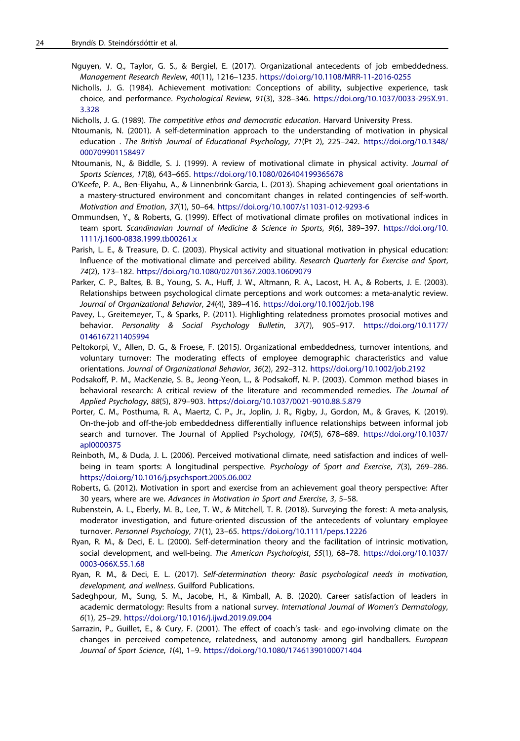- <span id="page-24-0"></span>Nguyen, V. Q., Taylor, G. S., & Bergiel, E. ([2017\)](#page-5-0). Organizational antecedents of job embeddedness. Management Research Review, 40(11), 1216–1235. <https://doi.org/10.1108/MRR-11-2016-0255>
- Nicholls, J. G. [\(1984](#page-4-0)). Achievement motivation: Conceptions of ability, subjective experience, task choice, and performance. Psychological Review, 91(3), 328–346. [https://doi.org/10.1037/0033-295X.91.](https://doi.org/10.1037/0033-295X.91.3.328) [3.328](https://doi.org/10.1037/0033-295X.91.3.328)
- Nicholls, J. G. ([1989](#page-4-0)). The competitive ethos and democratic education. Harvard University Press.
- Ntoumanis, N. [\(2001\)](#page-7-0). A self-determination approach to the understanding of motivation in physical education . The British Journal of Educational Psychology, 71(Pt 2), 225–242. [https://doi.org/10.1348/](https://doi.org/10.1348/000709901158497) [000709901158497](https://doi.org/10.1348/000709901158497)
- Ntoumanis, N., & Biddle, S. J. [\(1999\)](#page-2-0). A review of motivational climate in physical activity. Journal of Sports Sciences, 17(8), 643–665. <https://doi.org/10.1080/026404199365678>
- O'Keefe, P. A., Ben-Eliyahu, A., & Linnenbrink-Garcia, L. ([2013](#page-16-0)). Shaping achievement goal orientations in a mastery-structured environment and concomitant changes in related contingencies of self-worth. Motivation and Emotion, 37(1), 50–64. <https://doi.org/10.1007/s11031-012-9293-6>
- Ommundsen, Y., & Roberts, G. [\(1999\)](#page-5-0). Effect of motivational climate profiles on motivational indices in team sport. Scandinavian Journal of Medicine & Science in Sports, 9(6), 389–397. [https://doi.org/10.](https://doi.org/10.1111/j.1600-0838.1999.tb00261.x) [1111/j.1600-0838.1999.tb00261.x](https://doi.org/10.1111/j.1600-0838.1999.tb00261.x)
- Parish, L. E., & Treasure, D. C. [\(2003\)](#page-4-0). Physical activity and situational motivation in physical education: Influence of the motivational climate and perceived ability. Research Quarterly for Exercise and Sport, 74(2), 173–182. <https://doi.org/10.1080/02701367.2003.10609079>
- Parker, C. P., Baltes, B. B., Young, S. A., Huff, J. W., Altmann, R. A., Lacost, H. A., & Roberts, J. E. ([2003](#page-2-0)). Relationships between psychological climate perceptions and work outcomes: a meta-analytic review. Journal of Organizational Behavior, 24(4), 389–416. <https://doi.org/10.1002/job.198>
- Pavey, L., Greitemeyer, T., & Sparks, P. [\(2011\)](#page-8-0). Highlighting relatedness promotes prosocial motives and behavior. Personality & Social Psychology Bulletin, 37(7), 905–917. [https://doi.org/10.1177/](https://doi.org/10.1177/0146167211405994) [0146167211405994](https://doi.org/10.1177/0146167211405994)
- Peltokorpi, V., Allen, D. G., & Froese, F. ([2015](#page-4-0)). Organizational embeddedness, turnover intentions, and voluntary turnover: The moderating effects of employee demographic characteristics and value orientations. Journal of Organizational Behavior, 36(2), 292–312. <https://doi.org/10.1002/job.2192>
- Podsakoff, P. M., MacKenzie, S. B., Jeong-Yeon, L., & Podsakoff, N. P. [\(2003\)](#page-9-0). Common method biases in behavioral research: A critical review of the literature and recommended remedies. The Journal of Applied Psychology, 88(5), 879–903. <https://doi.org/10.1037/0021-9010.88.5.879>
- Porter, C. M., Posthuma, R. A., Maertz, C. P., Jr., Joplin, J. R., Rigby, J., Gordon, M., & Graves, K. ([2019](#page-3-0)). On-the-job and off-the-job embeddedness differentially influence relationships between informal job search and turnover. The Journal of Applied Psychology, 104(5), 678–689. [https://doi.org/10.1037/](https://doi.org/10.1037/apl0000375) [apl0000375](https://doi.org/10.1037/apl0000375)
- Reinboth, M., & Duda, J. L. [\(2006](#page-2-0)). Perceived motivational climate, need satisfaction and indices of wellbeing in team sports: A longitudinal perspective. Psychology of Sport and Exercise, 7(3), 269–286. <https://doi.org/10.1016/j.psychsport.2005.06.002>
- Roberts, G. [\(2012](#page-2-0)). Motivation in sport and exercise from an achievement goal theory perspective: After 30 years, where are we. Advances in Motivation in Sport and Exercise, 3, 5–58.
- Rubenstein, A. L., Eberly, M. B., Lee, T. W., & Mitchell, T. R. ([2018](#page-1-0)). Surveying the forest: A meta-analysis, moderator investigation, and future-oriented discussion of the antecedents of voluntary employee turnover. Personnel Psychology, 71(1), 23–65. <https://doi.org/10.1111/peps.12226>
- Ryan, R. M., & Deci, E. L. [\(2000\)](#page-2-0). Self-determination theory and the facilitation of intrinsic motivation, social development, and well-being. The American Psychologist, 55(1), 68–78. [https://doi.org/10.1037/](https://doi.org/10.1037/0003-066X.55.1.68) [0003-066X.55.1.68](https://doi.org/10.1037/0003-066X.55.1.68)
- Ryan, R. M., & Deci, E. L. [\(2017\)](#page-2-0). Self-determination theory: Basic psychological needs in motivation, development, and wellness. Guilford Publications.
- Sadeghpour, M., Sung, S. M., Jacobe, H., & Kimball, A. B. [\(2020\)](#page-10-0). Career satisfaction of leaders in academic dermatology: Results from a national survey. International Journal of Women's Dermatology, 6(1), 25–29. <https://doi.org/10.1016/j.ijwd.2019.09.004>
- Sarrazin, P., Guillet, E., & Cury, F. [\(2001\)](#page-7-0). The effect of coach's task- and ego-involving climate on the changes in perceived competence, relatedness, and autonomy among girl handballers. European Journal of Sport Science, 1(4), 1–9. <https://doi.org/10.1080/17461390100071404>